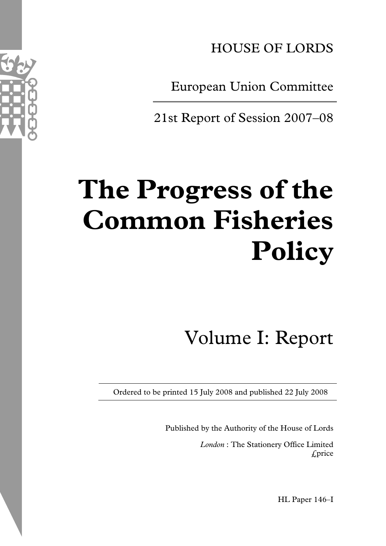HOUSE OF LORDS

European Union Committee

21st Report of Session 2007–08

# **The Progress of the Common Fisheries Policy**

Volume I: Report

Ordered to be printed 15 July 2008 and published 22 July 2008

Published by the Authority of the House of Lords *London* : The Stationery Office Limited £price

HL Paper 146–I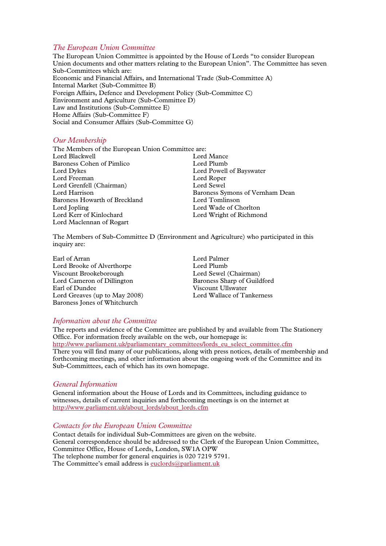#### *The European Union Committee*

The European Union Committee is appointed by the House of Lords "to consider European Union documents and other matters relating to the European Union". The Committee has seven Sub-Committees which are: Economic and Financial Affairs, and International Trade (Sub-Committee A) Internal Market (Sub-Committee B) Foreign Affairs, Defence and Development Policy (Sub-Committee C) Environment and Agriculture (Sub-Committee D) Law and Institutions (Sub-Committee E) Home Affairs (Sub-Committee F) Social and Consumer Affairs (Sub-Committee G)

# *Our Membership*

The Members of the European Union Committee are: Lord Blackwell Lord Mance Baroness Cohen of Pimlico Lord Plumb Lord Dykes Lord Powell of Bayswater Lord Freeman Lord Roper Lord Grenfell (Chairman) Lord Sewel Lord Harrison Baroness Symons of Vernham Dean Baroness Howarth of Breckland Lord Tomlinson Lord Jopling Lord Wade of Chorlton Lord Kerr of Kinlochard Lord Wright of Richmond Lord Maclennan of Rogart

The Members of Sub-Committee D (Environment and Agriculture) who participated in this inquiry are:

Earl of Arran Lord Palmer Lord Brooke of Alverthorpe<br>
Viscount Brookeborough<br>
Lord Sewel (Chairman) Viscount Brookeborough Lord Cameron of Dillington Baroness Sharp of Guildford Earl of Dundee Viscount Ullswater<br>
Lord Greaves (up to May 2008) [ Ord Wallace of Tankerness Lord Greaves (up to May  $2008$ ) Baroness Jones of Whitchurch

#### *Information about the Committee*

The reports and evidence of the Committee are published by and available from The Stationery Office. For information freely available on the web, our homepage is: http://www.parliament.uk/parliamentary\_committees/lords\_eu\_select\_committee.cfm There you will find many of our publications, along with press notices, details of membership and forthcoming meetings, and other information about the ongoing work of the Committee and its Sub-Committees, each of which has its own homepage.

#### *General Information*

General information about the House of Lords and its Committees, including guidance to witnesses, details of current inquiries and forthcoming meetings is on the internet at http://www.parliament.uk/about\_lords/about\_lords.cfm

#### *Contacts for the European Union Committee*

Contact details for individual Sub-Committees are given on the website. General correspondence should be addressed to the Clerk of the European Union Committee, Committee Office, House of Lords, London, SW1A OPW The telephone number for general enquiries is 020 7219 5791. The Committee's email address is euclords@parliament.uk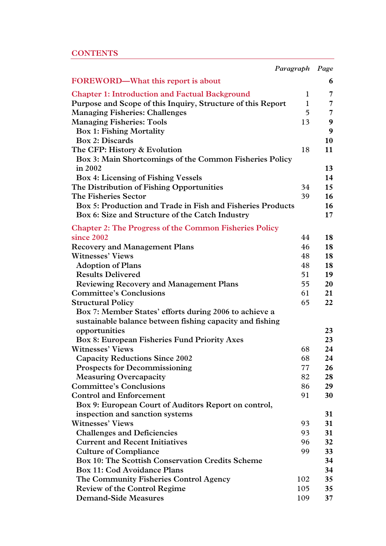# **CONTENTS**

| Paragraph Page                                                                   |              |          |
|----------------------------------------------------------------------------------|--------------|----------|
| FOREWORD—What this report is about                                               |              | 6        |
| <b>Chapter 1: Introduction and Factual Background</b>                            | $\mathbf{1}$ | 7        |
| Purpose and Scope of this Inquiry, Structure of this Report                      | $\mathbf{1}$ | 7        |
| <b>Managing Fisheries: Challenges</b>                                            | 5            | 7        |
| <b>Managing Fisheries: Tools</b>                                                 | 13           | 9        |
| <b>Box 1: Fishing Mortality</b>                                                  |              | 9        |
| <b>Box 2: Discards</b>                                                           |              | 10       |
| The CFP: History & Evolution                                                     | 18           | 11       |
| Box 3: Main Shortcomings of the Common Fisheries Policy                          |              |          |
| in 2002                                                                          |              | 13       |
| <b>Box 4: Licensing of Fishing Vessels</b>                                       |              | 14       |
| The Distribution of Fishing Opportunities                                        | 34           | 15       |
| The Fisheries Sector                                                             | 39           | 16       |
| Box 5: Production and Trade in Fish and Fisheries Products                       |              | 16       |
| Box 6: Size and Structure of the Catch Industry                                  |              | 17       |
| <b>Chapter 2: The Progress of the Common Fisheries Policy</b>                    |              |          |
| since 2002                                                                       | 44           | 18       |
| <b>Recovery and Management Plans</b>                                             | 46           | 18       |
| <b>Witnesses' Views</b>                                                          | 48           | 18       |
| <b>Adoption of Plans</b>                                                         | 48           | 18       |
| <b>Results Delivered</b>                                                         | 51           | 19       |
| <b>Reviewing Recovery and Management Plans</b>                                   | 55           | 20       |
| <b>Committee's Conclusions</b>                                                   | 61           | 21       |
| <b>Structural Policy</b>                                                         | 65           | 22       |
| Box 7: Member States' efforts during 2006 to achieve a                           |              |          |
| sustainable balance between fishing capacity and fishing                         |              |          |
| opportunities                                                                    |              | 23       |
| <b>Box 8: European Fisheries Fund Priority Axes</b>                              |              | 23       |
| <b>Witnesses' Views</b>                                                          | 68           | 24       |
| <b>Capacity Reductions Since 2002</b>                                            | 68           | 24       |
| <b>Prospects for Decommissioning</b>                                             | 77           | 26       |
| <b>Measuring Overcapacity</b>                                                    | 82           | 28       |
| <b>Committee's Conclusions</b>                                                   | 86           | 29       |
| <b>Control and Enforcement</b>                                                   | 91           | 30       |
| Box 9: European Court of Auditors Report on control,                             |              |          |
| inspection and sanction systems<br><b>Witnesses' Views</b>                       |              | 31       |
|                                                                                  | 93<br>93     | 31<br>31 |
| <b>Challenges and Deficiencies</b><br><b>Current and Recent Initiatives</b>      | 96           | 32       |
|                                                                                  | 99           | 33       |
| <b>Culture of Compliance</b><br>Box 10: The Scottish Conservation Credits Scheme |              | 34       |
| <b>Box 11: Cod Avoidance Plans</b>                                               |              | 34       |
| The Community Fisheries Control Agency                                           | 102          | 35       |
| <b>Review of the Control Regime</b>                                              | 105          | 35       |
| <b>Demand-Side Measures</b>                                                      | 109          | 37       |
|                                                                                  |              |          |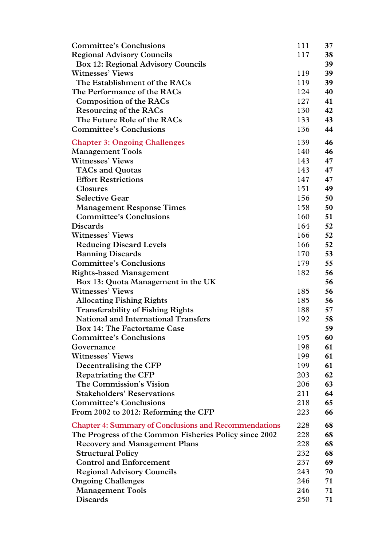| <b>Committee's Conclusions</b>                               | 111 | 37 |
|--------------------------------------------------------------|-----|----|
| <b>Regional Advisory Councils</b>                            | 117 | 38 |
| <b>Box 12: Regional Advisory Councils</b>                    |     | 39 |
| <b>Witnesses' Views</b>                                      | 119 | 39 |
| The Establishment of the RACs                                | 119 | 39 |
| The Performance of the RACs                                  | 124 | 40 |
| <b>Composition of the RACs</b>                               | 127 | 41 |
| <b>Resourcing of the RACs</b>                                | 130 | 42 |
| The Future Role of the RACs                                  | 133 | 43 |
| <b>Committee's Conclusions</b>                               | 136 | 44 |
| <b>Chapter 3: Ongoing Challenges</b>                         | 139 | 46 |
| <b>Management Tools</b>                                      | 140 | 46 |
| <b>Witnesses' Views</b>                                      | 143 | 47 |
| <b>TACs and Quotas</b>                                       | 143 | 47 |
| <b>Effort Restrictions</b>                                   | 147 | 47 |
| <b>Closures</b>                                              | 151 | 49 |
| <b>Selective Gear</b>                                        | 156 | 50 |
| <b>Management Response Times</b>                             | 158 | 50 |
| <b>Committee's Conclusions</b>                               | 160 | 51 |
| <b>Discards</b>                                              | 164 | 52 |
| <b>Witnesses' Views</b>                                      | 166 | 52 |
| <b>Reducing Discard Levels</b>                               | 166 | 52 |
| <b>Banning Discards</b>                                      | 170 | 53 |
| <b>Committee's Conclusions</b>                               | 179 | 55 |
| <b>Rights-based Management</b>                               | 182 | 56 |
| Box 13: Quota Management in the UK                           |     | 56 |
| <b>Witnesses' Views</b>                                      | 185 | 56 |
| <b>Allocating Fishing Rights</b>                             | 185 | 56 |
| <b>Transferability of Fishing Rights</b>                     | 188 | 57 |
| <b>National and International Transfers</b>                  | 192 | 58 |
| <b>Box 14: The Factortame Case</b>                           |     | 59 |
| <b>Committee's Conclusions</b>                               | 195 | 60 |
| Governance                                                   | 198 | 61 |
| <b>Witnesses' Views</b>                                      | 199 | 61 |
| Decentralising the CFP                                       | 199 | 61 |
| Repatriating the CFP                                         | 203 | 62 |
| The Commission's Vision                                      | 206 | 63 |
| <b>Stakeholders' Reservations</b>                            | 211 | 64 |
| <b>Committee's Conclusions</b>                               | 218 | 65 |
| From 2002 to 2012: Reforming the CFP                         | 223 | 66 |
| <b>Chapter 4: Summary of Conclusions and Recommendations</b> | 228 | 68 |
| The Progress of the Common Fisheries Policy since 2002       | 228 | 68 |
| <b>Recovery and Management Plans</b>                         | 228 | 68 |
| <b>Structural Policy</b>                                     | 232 | 68 |
| <b>Control and Enforcement</b>                               | 237 | 69 |
| <b>Regional Advisory Councils</b>                            | 243 | 70 |
| <b>Ongoing Challenges</b>                                    | 246 | 71 |
| <b>Management Tools</b>                                      | 246 | 71 |
| <b>Discards</b>                                              | 250 | 71 |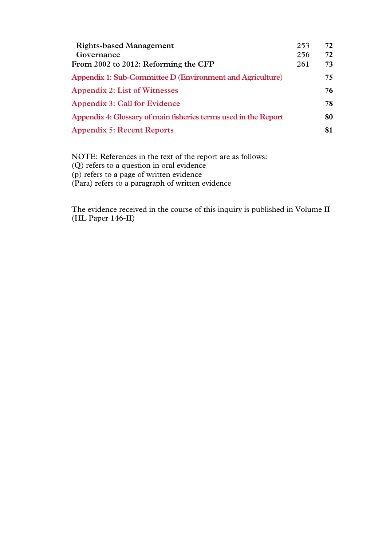| <b>Rights-based Management</b>                                  | 253 | 72  |
|-----------------------------------------------------------------|-----|-----|
| Governance                                                      | 256 | 72  |
| From 2002 to 2012: Reforming the CFP                            | 261 | 73  |
| Appendix 1: Sub-Committee D (Environment and Agriculture)       |     | 75  |
| <b>Appendix 2: List of Witnesses</b>                            |     | 76. |
| Appendix 3: Call for Evidence                                   |     | 78  |
| Appendix 4: Glossary of main fisheries terms used in the Report |     | 80  |
| <b>Appendix 5: Recent Reports</b>                               |     | 81  |

NOTE: References in the text of the report are as follows: (Q) refers to a question in oral evidence (p) refers to a page of written evidence (Para) refers to a paragraph of written evidence

The evidence received in the course of this inquiry is published in Volume II (HL Paper 146-II)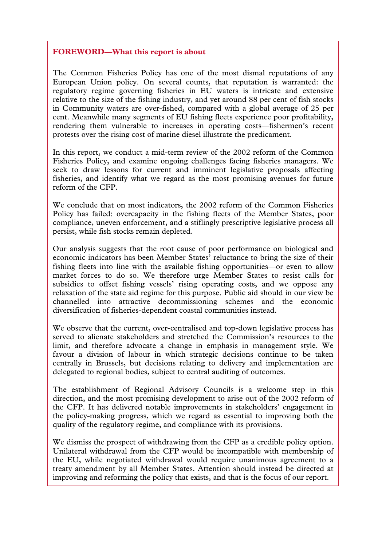# **FOREWORD—What this report is about**

The Common Fisheries Policy has one of the most dismal reputations of any European Union policy. On several counts, that reputation is warranted: the regulatory regime governing fisheries in EU waters is intricate and extensive relative to the size of the fishing industry, and yet around 88 per cent of fish stocks in Community waters are over-fished, compared with a global average of 25 per cent. Meanwhile many segments of EU fishing fleets experience poor profitability, rendering them vulnerable to increases in operating costs—fishermen's recent protests over the rising cost of marine diesel illustrate the predicament.

In this report, we conduct a mid-term review of the 2002 reform of the Common Fisheries Policy, and examine ongoing challenges facing fisheries managers. We seek to draw lessons for current and imminent legislative proposals affecting fisheries, and identify what we regard as the most promising avenues for future reform of the CFP.

We conclude that on most indicators, the 2002 reform of the Common Fisheries Policy has failed: overcapacity in the fishing fleets of the Member States, poor compliance, uneven enforcement, and a stiflingly prescriptive legislative process all persist, while fish stocks remain depleted.

Our analysis suggests that the root cause of poor performance on biological and economic indicators has been Member States' reluctance to bring the size of their fishing fleets into line with the available fishing opportunities—or even to allow market forces to do so. We therefore urge Member States to resist calls for subsidies to offset fishing vessels' rising operating costs, and we oppose any relaxation of the state aid regime for this purpose. Public aid should in our view be channelled into attractive decommissioning schemes and the economic diversification of fisheries-dependent coastal communities instead.

We observe that the current, over-centralised and top-down legislative process has served to alienate stakeholders and stretched the Commission's resources to the limit, and therefore advocate a change in emphasis in management style. We favour a division of labour in which strategic decisions continue to be taken centrally in Brussels, but decisions relating to delivery and implementation are delegated to regional bodies, subject to central auditing of outcomes.

The establishment of Regional Advisory Councils is a welcome step in this direction, and the most promising development to arise out of the 2002 reform of the CFP. It has delivered notable improvements in stakeholders' engagement in the policy-making progress, which we regard as essential to improving both the quality of the regulatory regime, and compliance with its provisions.

We dismiss the prospect of withdrawing from the CFP as a credible policy option. Unilateral withdrawal from the CFP would be incompatible with membership of the EU, while negotiated withdrawal would require unanimous agreement to a treaty amendment by all Member States. Attention should instead be directed at improving and reforming the policy that exists, and that is the focus of our report.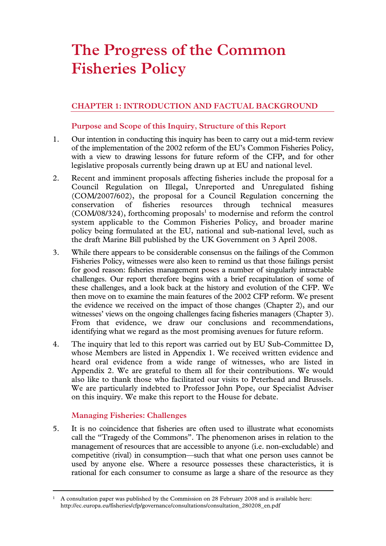# **The Progress of the Common Fisheries Policy**

# **CHAPTER 1: INTRODUCTION AND FACTUAL BACKGROUND**

# **Purpose and Scope of this Inquiry, Structure of this Report**

- 1. Our intention in conducting this inquiry has been to carry out a mid-term review of the implementation of the 2002 reform of the EU's Common Fisheries Policy, with a view to drawing lessons for future reform of the CFP, and for other legislative proposals currently being drawn up at EU and national level.
- 2. Recent and imminent proposals affecting fisheries include the proposal for a Council Regulation on Illegal, Unreported and Unregulated fishing (COM/2007/602), the proposal for a Council Regulation concerning the conservation of fisheries resources through technical measures  $(COM/08/324)$ , forthcoming proposals<sup>1</sup> to modernise and reform the control system applicable to the Common Fisheries Policy, and broader marine policy being formulated at the EU, national and sub-national level, such as the draft Marine Bill published by the UK Government on 3 April 2008.
- 3. While there appears to be considerable consensus on the failings of the Common Fisheries Policy, witnesses were also keen to remind us that those failings persist for good reason: fisheries management poses a number of singularly intractable challenges. Our report therefore begins with a brief recapitulation of some of these challenges, and a look back at the history and evolution of the CFP. We then move on to examine the main features of the 2002 CFP reform. We present the evidence we received on the impact of those changes (Chapter 2), and our witnesses' views on the ongoing challenges facing fisheries managers (Chapter 3). From that evidence, we draw our conclusions and recommendations, identifying what we regard as the most promising avenues for future reform.
- 4. The inquiry that led to this report was carried out by EU Sub-Committee D, whose Members are listed in Appendix 1. We received written evidence and heard oral evidence from a wide range of witnesses, who are listed in Appendix 2. We are grateful to them all for their contributions. We would also like to thank those who facilitated our visits to Peterhead and Brussels. We are particularly indebted to Professor John Pope, our Specialist Adviser on this inquiry. We make this report to the House for debate.

# **Managing Fisheries: Challenges**

5. It is no coincidence that fisheries are often used to illustrate what economists call the "Tragedy of the Commons". The phenomenon arises in relation to the management of resources that are accessible to anyone (i.e. non-excludable) and competitive (rival) in consumption—such that what one person uses cannot be used by anyone else. Where a resource possesses these characteristics, it is rational for each consumer to consume as large a share of the resource as they

 <sup>1</sup> A consultation paper was published by the Commission on 28 February 2008 and is available here: http://ec.europa.eu/fisheries/cfp/governance/consultations/consultation\_280208\_en.pdf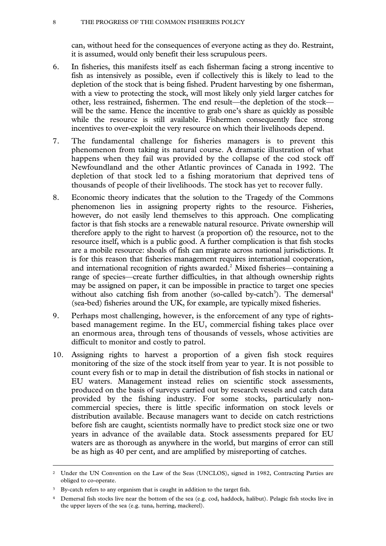#### 8 THE PROGRESS OF THE COMMON FISHERIES POLICY

can, without heed for the consequences of everyone acting as they do. Restraint, it is assumed, would only benefit their less scrupulous peers.

- 6. In fisheries, this manifests itself as each fisherman facing a strong incentive to fish as intensively as possible, even if collectively this is likely to lead to the depletion of the stock that is being fished. Prudent harvesting by one fisherman, with a view to protecting the stock, will most likely only yield larger catches for other, less restrained, fishermen. The end result—the depletion of the stock will be the same. Hence the incentive to grab one's share as quickly as possible while the resource is still available. Fishermen consequently face strong incentives to over-exploit the very resource on which their livelihoods depend.
- 7. The fundamental challenge for fisheries managers is to prevent this phenomenon from taking its natural course. A dramatic illustration of what happens when they fail was provided by the collapse of the cod stock off Newfoundland and the other Atlantic provinces of Canada in 1992. The depletion of that stock led to a fishing moratorium that deprived tens of thousands of people of their livelihoods. The stock has yet to recover fully.
- 8. Economic theory indicates that the solution to the Tragedy of the Commons phenomenon lies in assigning property rights to the resource. Fisheries, however, do not easily lend themselves to this approach. One complicating factor is that fish stocks are a renewable natural resource. Private ownership will therefore apply to the right to harvest (a proportion of) the resource, not to the resource itself, which is a public good. A further complication is that fish stocks are a mobile resource: shoals of fish can migrate across national jurisdictions. It is for this reason that fisheries management requires international cooperation, and international recognition of rights awarded.<sup>2</sup> Mixed fisheries—containing a range of species—create further difficulties, in that although ownership rights may be assigned on paper, it can be impossible in practice to target one species without also catching fish from another (so-called by-catch<sup>3</sup>). The demersal<sup>4</sup> (sea-bed) fisheries around the UK, for example, are typically mixed fisheries.
- 9. Perhaps most challenging, however, is the enforcement of any type of rightsbased management regime. In the EU, commercial fishing takes place over an enormous area, through tens of thousands of vessels, whose activities are difficult to monitor and costly to patrol.
- 10. Assigning rights to harvest a proportion of a given fish stock requires monitoring of the size of the stock itself from year to year. It is not possible to count every fish or to map in detail the distribution of fish stocks in national or EU waters. Management instead relies on scientific stock assessments, produced on the basis of surveys carried out by research vessels and catch data provided by the fishing industry. For some stocks, particularly noncommercial species, there is little specific information on stock levels or distribution available. Because managers want to decide on catch restrictions before fish are caught, scientists normally have to predict stock size one or two years in advance of the available data. Stock assessments prepared for EU waters are as thorough as anywhere in the world, but margins of error can still be as high as 40 per cent, and are amplified by misreporting of catches.

 <sup>2</sup> Under the UN Convention on the Law of the Seas (UNCLOS), signed in 1982, Contracting Parties are obliged to co-operate.

<sup>&</sup>lt;sup>3</sup> By-catch refers to any organism that is caught in addition to the target fish.

Demersal fish stocks live near the bottom of the sea (e.g. cod, haddock, halibut). Pelagic fish stocks live in the upper layers of the sea (e.g. tuna, herring, mackerel).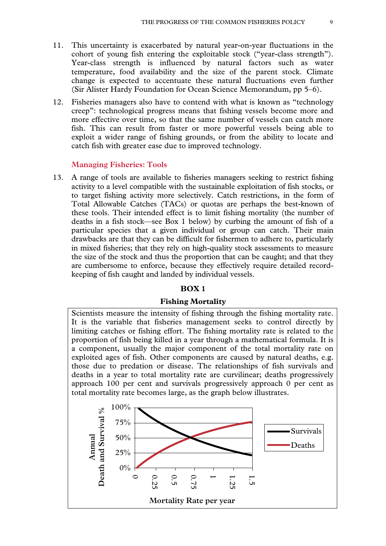- 11. This uncertainty is exacerbated by natural year-on-year fluctuations in the cohort of young fish entering the exploitable stock ("year-class strength"). Year-class strength is influenced by natural factors such as water temperature, food availability and the size of the parent stock. Climate change is expected to accentuate these natural fluctuations even further (Sir Alister Hardy Foundation for Ocean Science Memorandum, pp 5–6).
- 12. Fisheries managers also have to contend with what is known as "technology creep": technological progress means that fishing vessels become more and more effective over time, so that the same number of vessels can catch more fish. This can result from faster or more powerful vessels being able to exploit a wider range of fishing grounds, or from the ability to locate and catch fish with greater ease due to improved technology.

#### **Managing Fisheries: Tools**

13. A range of tools are available to fisheries managers seeking to restrict fishing activity to a level compatible with the sustainable exploitation of fish stocks, or to target fishing activity more selectively. Catch restrictions, in the form of Total Allowable Catches (TACs) or quotas are perhaps the best-known of these tools. Their intended effect is to limit fishing mortality (the number of deaths in a fish stock—see Box 1 below) by curbing the amount of fish of a particular species that a given individual or group can catch. Their main drawbacks are that they can be difficult for fishermen to adhere to, particularly in mixed fisheries; that they rely on high-quality stock assessments to measure the size of the stock and thus the proportion that can be caught; and that they are cumbersome to enforce, because they effectively require detailed recordkeeping of fish caught and landed by individual vessels.

# **BOX 1**

#### **Fishing Mortality**

Scientists measure the intensity of fishing through the fishing mortality rate. It is the variable that fisheries management seeks to control directly by limiting catches or fishing effort. The fishing mortality rate is related to the proportion of fish being killed in a year through a mathematical formula. It is a component, usually the major component of the total mortality rate on exploited ages of fish. Other components are caused by natural deaths, e.g. those due to predation or disease. The relationships of fish survivals and deaths in a year to total mortality rate are curvilinear; deaths progressively approach 100 per cent and survivals progressively approach 0 per cent as total mortality rate becomes large, as the graph below illustrates.

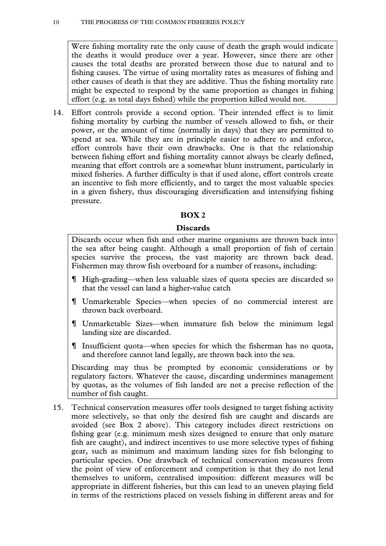Were fishing mortality rate the only cause of death the graph would indicate the deaths it would produce over a year. However, since there are other causes the total deaths are prorated between those due to natural and to fishing causes. The virtue of using mortality rates as measures of fishing and other causes of death is that they are additive. Thus the fishing mortality rate might be expected to respond by the same proportion as changes in fishing effort (e.g. as total days fished) while the proportion killed would not.

14. Effort controls provide a second option. Their intended effect is to limit fishing mortality by curbing the number of vessels allowed to fish, or their power, or the amount of time (normally in days) that they are permitted to spend at sea. While they are in principle easier to adhere to and enforce, effort controls have their own drawbacks. One is that the relationship between fishing effort and fishing mortality cannot always be clearly defined, meaning that effort controls are a somewhat blunt instrument, particularly in mixed fisheries. A further difficulty is that if used alone, effort controls create an incentive to fish more efficiently, and to target the most valuable species in a given fishery, thus discouraging diversification and intensifying fishing pressure.

# **BOX 2**

# **Discards**

Discards occur when fish and other marine organisms are thrown back into the sea after being caught. Although a small proportion of fish of certain species survive the process, the vast majority are thrown back dead. Fishermen may throw fish overboard for a number of reasons, including:

- High-grading—when less valuable sizes of quota species are discarded so that the vessel can land a higher-value catch
- Unmarketable Species—when species of no commercial interest are thrown back overboard.
- Unmarketable Sizes—when immature fish below the minimum legal landing size are discarded.
- Insufficient quota—when species for which the fisherman has no quota, and therefore cannot land legally, are thrown back into the sea.

Discarding may thus be prompted by economic considerations or by regulatory factors. Whatever the cause, discarding undermines management by quotas, as the volumes of fish landed are not a precise reflection of the number of fish caught.

15. Technical conservation measures offer tools designed to target fishing activity more selectively, so that only the desired fish are caught and discards are avoided (see Box 2 above). This category includes direct restrictions on fishing gear (e.g. minimum mesh sizes designed to ensure that only mature fish are caught), and indirect incentives to use more selective types of fishing gear, such as minimum and maximum landing sizes for fish belonging to particular species. One drawback of technical conservation measures from the point of view of enforcement and competition is that they do not lend themselves to uniform, centralised imposition: different measures will be appropriate in different fisheries, but this can lead to an uneven playing field in terms of the restrictions placed on vessels fishing in different areas and for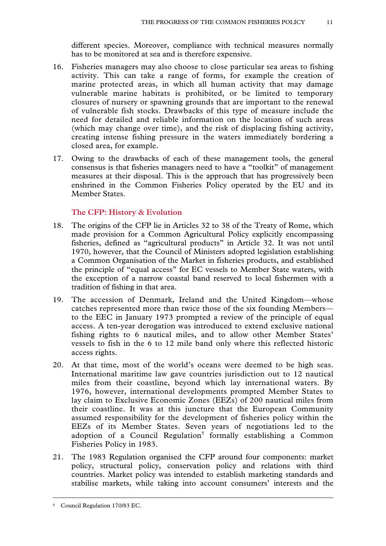different species. Moreover, compliance with technical measures normally has to be monitored at sea and is therefore expensive.

- 16. Fisheries managers may also choose to close particular sea areas to fishing activity. This can take a range of forms, for example the creation of marine protected areas, in which all human activity that may damage vulnerable marine habitats is prohibited, or be limited to temporary closures of nursery or spawning grounds that are important to the renewal of vulnerable fish stocks. Drawbacks of this type of measure include the need for detailed and reliable information on the location of such areas (which may change over time), and the risk of displacing fishing activity, creating intense fishing pressure in the waters immediately bordering a closed area, for example.
- 17. Owing to the drawbacks of each of these management tools, the general consensus is that fisheries managers need to have a "toolkit" of management measures at their disposal. This is the approach that has progressively been enshrined in the Common Fisheries Policy operated by the EU and its Member States.

# **The CFP: History & Evolution**

- 18. The origins of the CFP lie in Articles 32 to 38 of the Treaty of Rome, which made provision for a Common Agricultural Policy explicitly encompassing fisheries, defined as "agricultural products" in Article 32. It was not until 1970, however, that the Council of Ministers adopted legislation establishing a Common Organisation of the Market in fisheries products, and established the principle of "equal access" for EC vessels to Member State waters, with the exception of a narrow coastal band reserved to local fishermen with a tradition of fishing in that area.
- 19. The accession of Denmark, Ireland and the United Kingdom—whose catches represented more than twice those of the six founding Members to the EEC in January 1973 prompted a review of the principle of equal access. A ten-year derogation was introduced to extend exclusive national fishing rights to 6 nautical miles, and to allow other Member States' vessels to fish in the 6 to 12 mile band only where this reflected historic access rights.
- 20. At that time, most of the world's oceans were deemed to be high seas. International maritime law gave countries jurisdiction out to 12 nautical miles from their coastline, beyond which lay international waters. By 1976, however, international developments prompted Member States to lay claim to Exclusive Economic Zones (EEZs) of 200 nautical miles from their coastline. It was at this juncture that the European Community assumed responsibility for the development of fisheries policy within the EEZs of its Member States. Seven years of negotiations led to the adoption of a Council Regulation<sup>5</sup> formally establishing a Common Fisheries Policy in 1983.
- 21. The 1983 Regulation organised the CFP around four components: market policy, structural policy, conservation policy and relations with third countries. Market policy was intended to establish marketing standards and stabilise markets, while taking into account consumers' interests and the

 <sup>5</sup> Council Regulation 170/83 EC.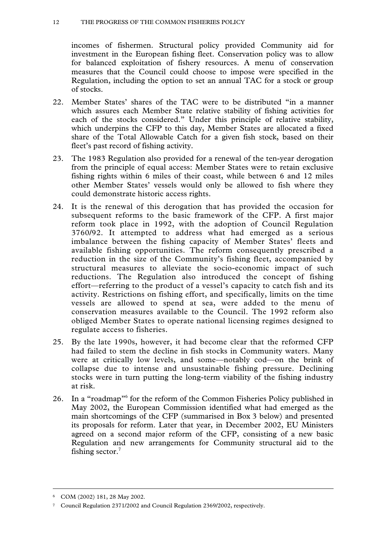incomes of fishermen. Structural policy provided Community aid for investment in the European fishing fleet. Conservation policy was to allow for balanced exploitation of fishery resources. A menu of conservation measures that the Council could choose to impose were specified in the Regulation, including the option to set an annual TAC for a stock or group of stocks.

- 22. Member States' shares of the TAC were to be distributed "in a manner which assures each Member State relative stability of fishing activities for each of the stocks considered." Under this principle of relative stability, which underpins the CFP to this day, Member States are allocated a fixed share of the Total Allowable Catch for a given fish stock, based on their fleet's past record of fishing activity.
- 23. The 1983 Regulation also provided for a renewal of the ten-year derogation from the principle of equal access: Member States were to retain exclusive fishing rights within 6 miles of their coast, while between 6 and 12 miles other Member States' vessels would only be allowed to fish where they could demonstrate historic access rights.
- 24. It is the renewal of this derogation that has provided the occasion for subsequent reforms to the basic framework of the CFP. A first major reform took place in 1992, with the adoption of Council Regulation 3760/92. It attempted to address what had emerged as a serious imbalance between the fishing capacity of Member States' fleets and available fishing opportunities. The reform consequently prescribed a reduction in the size of the Community's fishing fleet, accompanied by structural measures to alleviate the socio-economic impact of such reductions. The Regulation also introduced the concept of fishing effort—referring to the product of a vessel's capacity to catch fish and its activity. Restrictions on fishing effort, and specifically, limits on the time vessels are allowed to spend at sea, were added to the menu of conservation measures available to the Council. The 1992 reform also obliged Member States to operate national licensing regimes designed to regulate access to fisheries.
- 25. By the late 1990s, however, it had become clear that the reformed CFP had failed to stem the decline in fish stocks in Community waters. Many were at critically low levels, and some—notably cod—on the brink of collapse due to intense and unsustainable fishing pressure. Declining stocks were in turn putting the long-term viability of the fishing industry at risk.
- 26. In a "roadmap"6 for the reform of the Common Fisheries Policy published in May 2002, the European Commission identified what had emerged as the main shortcomings of the CFP (summarised in Box 3 below) and presented its proposals for reform. Later that year, in December 2002, EU Ministers agreed on a second major reform of the CFP, consisting of a new basic Regulation and new arrangements for Community structural aid to the fishing sector.7

 <sup>6</sup> COM (2002) 181, 28 May 2002.

<sup>7</sup> Council Regulation 2371/2002 and Council Regulation 2369/2002, respectively.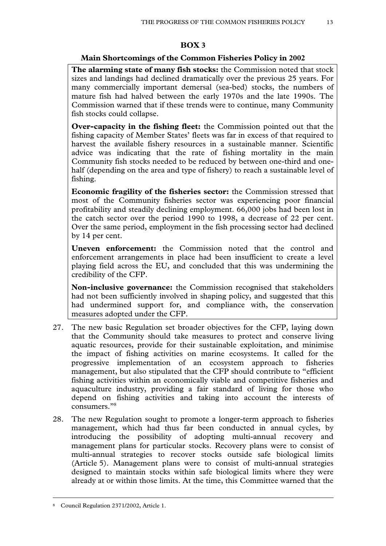# **BOX 3**

# **Main Shortcomings of the Common Fisheries Policy in 2002**

**The alarming state of many fish stocks:** the Commission noted that stock sizes and landings had declined dramatically over the previous 25 years. For many commercially important demersal (sea-bed) stocks, the numbers of mature fish had halved between the early 1970s and the late 1990s. The Commission warned that if these trends were to continue, many Community fish stocks could collapse.

**Over-capacity in the fishing fleet:** the Commission pointed out that the fishing capacity of Member States' fleets was far in excess of that required to harvest the available fishery resources in a sustainable manner. Scientific advice was indicating that the rate of fishing mortality in the main Community fish stocks needed to be reduced by between one-third and onehalf (depending on the area and type of fishery) to reach a sustainable level of fishing.

**Economic fragility of the fisheries sector:** the Commission stressed that most of the Community fisheries sector was experiencing poor financial profitability and steadily declining employment. 66,000 jobs had been lost in the catch sector over the period 1990 to 1998, a decrease of 22 per cent. Over the same period, employment in the fish processing sector had declined by 14 per cent.

**Uneven enforcement:** the Commission noted that the control and enforcement arrangements in place had been insufficient to create a level playing field across the EU, and concluded that this was undermining the credibility of the CFP.

**Non-inclusive governance:** the Commission recognised that stakeholders had not been sufficiently involved in shaping policy, and suggested that this had undermined support for, and compliance with, the conservation measures adopted under the CFP.

- 27. The new basic Regulation set broader objectives for the CFP, laying down that the Community should take measures to protect and conserve living aquatic resources, provide for their sustainable exploitation, and minimise the impact of fishing activities on marine ecosystems. It called for the progressive implementation of an ecosystem approach to fisheries management, but also stipulated that the CFP should contribute to "efficient fishing activities within an economically viable and competitive fisheries and aquaculture industry, providing a fair standard of living for those who depend on fishing activities and taking into account the interests of consumers."8
- 28. The new Regulation sought to promote a longer-term approach to fisheries management, which had thus far been conducted in annual cycles, by introducing the possibility of adopting multi-annual recovery and management plans for particular stocks. Recovery plans were to consist of multi-annual strategies to recover stocks outside safe biological limits (Article 5). Management plans were to consist of multi-annual strategies designed to maintain stocks within safe biological limits where they were already at or within those limits. At the time, this Committee warned that the

 <sup>8</sup> Council Regulation 2371/2002, Article 1.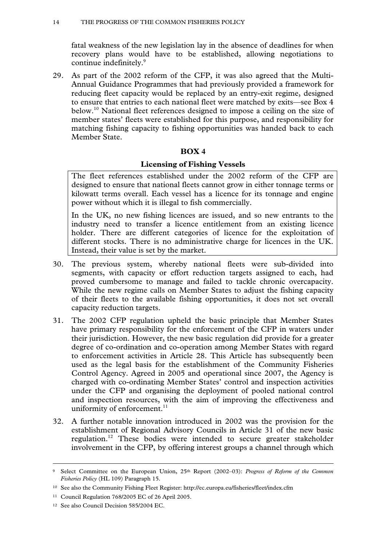fatal weakness of the new legislation lay in the absence of deadlines for when recovery plans would have to be established, allowing negotiations to continue indefinitely.<sup>9</sup>

29. As part of the 2002 reform of the CFP, it was also agreed that the Multi-Annual Guidance Programmes that had previously provided a framework for reducing fleet capacity would be replaced by an entry-exit regime, designed to ensure that entries to each national fleet were matched by exits—see Box 4 below.10 National fleet references designed to impose a ceiling on the size of member states' fleets were established for this purpose, and responsibility for matching fishing capacity to fishing opportunities was handed back to each Member State.

# **BOX 4**

# **Licensing of Fishing Vessels**

The fleet references established under the 2002 reform of the CFP are designed to ensure that national fleets cannot grow in either tonnage terms or kilowatt terms overall. Each vessel has a licence for its tonnage and engine power without which it is illegal to fish commercially.

In the UK, no new fishing licences are issued, and so new entrants to the industry need to transfer a licence entitlement from an existing licence holder. There are different categories of licence for the exploitation of different stocks. There is no administrative charge for licences in the UK. Instead, their value is set by the market.

- 30. The previous system, whereby national fleets were sub-divided into segments, with capacity or effort reduction targets assigned to each, had proved cumbersome to manage and failed to tackle chronic overcapacity. While the new regime calls on Member States to adjust the fishing capacity of their fleets to the available fishing opportunities, it does not set overall capacity reduction targets.
- 31. The 2002 CFP regulation upheld the basic principle that Member States have primary responsibility for the enforcement of the CFP in waters under their jurisdiction. However, the new basic regulation did provide for a greater degree of co-ordination and co-operation among Member States with regard to enforcement activities in Article 28. This Article has subsequently been used as the legal basis for the establishment of the Community Fisheries Control Agency. Agreed in 2005 and operational since 2007, the Agency is charged with co-ordinating Member States' control and inspection activities under the CFP and organising the deployment of pooled national control and inspection resources, with the aim of improving the effectiveness and uniformity of enforcement. $11$
- 32. A further notable innovation introduced in 2002 was the provision for the establishment of Regional Advisory Councils in Article 31 of the new basic regulation.12 These bodies were intended to secure greater stakeholder involvement in the CFP, by offering interest groups a channel through which

 <sup>9</sup> Select Committee on the European Union, 25th Report (2002–03): *Progress of Reform of the Common Fisheries Policy* (HL 109) Paragraph 15.

<sup>10</sup> See also the Community Fishing Fleet Register: http://ec.europa.eu/fisheries/fleet/index.cfm

<sup>11</sup> Council Regulation 768/2005 EC of 26 April 2005.

<sup>12</sup> See also Council Decision 585/2004 EC.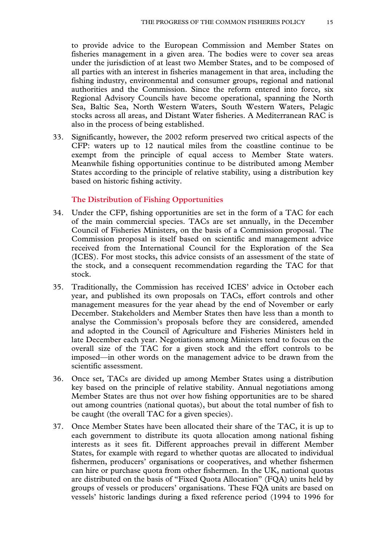to provide advice to the European Commission and Member States on fisheries management in a given area. The bodies were to cover sea areas under the jurisdiction of at least two Member States, and to be composed of all parties with an interest in fisheries management in that area, including the fishing industry, environmental and consumer groups, regional and national authorities and the Commission. Since the reform entered into force, six Regional Advisory Councils have become operational, spanning the North Sea, Baltic Sea, North Western Waters, South Western Waters, Pelagic stocks across all areas, and Distant Water fisheries. A Mediterranean RAC is also in the process of being established.

33. Significantly, however, the 2002 reform preserved two critical aspects of the CFP: waters up to 12 nautical miles from the coastline continue to be exempt from the principle of equal access to Member State waters. Meanwhile fishing opportunities continue to be distributed among Member States according to the principle of relative stability, using a distribution key based on historic fishing activity.

#### **The Distribution of Fishing Opportunities**

- 34. Under the CFP, fishing opportunities are set in the form of a TAC for each of the main commercial species. TACs are set annually, in the December Council of Fisheries Ministers, on the basis of a Commission proposal. The Commission proposal is itself based on scientific and management advice received from the International Council for the Exploration of the Sea (ICES). For most stocks, this advice consists of an assessment of the state of the stock, and a consequent recommendation regarding the TAC for that stock.
- 35. Traditionally, the Commission has received ICES' advice in October each year, and published its own proposals on TACs, effort controls and other management measures for the year ahead by the end of November or early December. Stakeholders and Member States then have less than a month to analyse the Commission's proposals before they are considered, amended and adopted in the Council of Agriculture and Fisheries Ministers held in late December each year. Negotiations among Ministers tend to focus on the overall size of the TAC for a given stock and the effort controls to be imposed—in other words on the management advice to be drawn from the scientific assessment.
- 36. Once set, TACs are divided up among Member States using a distribution key based on the principle of relative stability. Annual negotiations among Member States are thus not over how fishing opportunities are to be shared out among countries (national quotas), but about the total number of fish to be caught (the overall TAC for a given species).
- 37. Once Member States have been allocated their share of the TAC, it is up to each government to distribute its quota allocation among national fishing interests as it sees fit. Different approaches prevail in different Member States, for example with regard to whether quotas are allocated to individual fishermen, producers' organisations or cooperatives, and whether fishermen can hire or purchase quota from other fishermen. In the UK, national quotas are distributed on the basis of "Fixed Quota Allocation" (FQA) units held by groups of vessels or producers' organisations. These FQA units are based on vessels' historic landings during a fixed reference period (1994 to 1996 for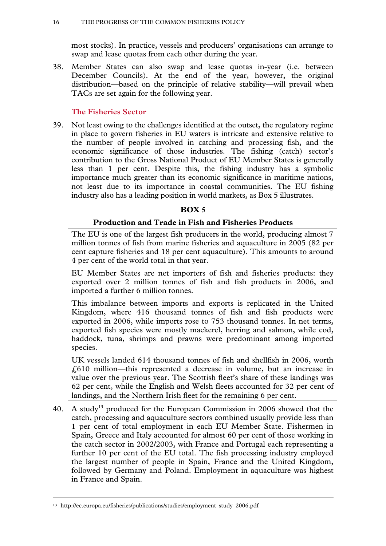most stocks). In practice, vessels and producers' organisations can arrange to swap and lease quotas from each other during the year.

38. Member States can also swap and lease quotas in-year (i.e. between December Councils). At the end of the year, however, the original distribution—based on the principle of relative stability—will prevail when TACs are set again for the following year.

# **The Fisheries Sector**

39. Not least owing to the challenges identified at the outset, the regulatory regime in place to govern fisheries in EU waters is intricate and extensive relative to the number of people involved in catching and processing fish, and the economic significance of those industries. The fishing (catch) sector's contribution to the Gross National Product of EU Member States is generally less than 1 per cent. Despite this, the fishing industry has a symbolic importance much greater than its economic significance in maritime nations, not least due to its importance in coastal communities. The EU fishing industry also has a leading position in world markets, as Box 5 illustrates.

# **BOX 5**

# **Production and Trade in Fish and Fisheries Products**

The EU is one of the largest fish producers in the world, producing almost 7 million tonnes of fish from marine fisheries and aquaculture in 2005 (82 per cent capture fisheries and 18 per cent aquaculture). This amounts to around 4 per cent of the world total in that year.

EU Member States are net importers of fish and fisheries products: they exported over 2 million tonnes of fish and fish products in 2006, and imported a further 6 million tonnes.

This imbalance between imports and exports is replicated in the United Kingdom, where 416 thousand tonnes of fish and fish products were exported in 2006, while imports rose to 753 thousand tonnes. In net terms, exported fish species were mostly mackerel, herring and salmon, while cod, haddock, tuna, shrimps and prawns were predominant among imported species.

UK vessels landed 614 thousand tonnes of fish and shellfish in 2006, worth £610 million—this represented a decrease in volume, but an increase in value over the previous year. The Scottish fleet's share of these landings was 62 per cent, while the English and Welsh fleets accounted for 32 per cent of landings, and the Northern Irish fleet for the remaining 6 per cent.

40. A study<sup>13</sup> produced for the European Commission in 2006 showed that the catch, processing and aquaculture sectors combined usually provide less than 1 per cent of total employment in each EU Member State. Fishermen in Spain, Greece and Italy accounted for almost 60 per cent of those working in the catch sector in 2002/2003, with France and Portugal each representing a further 10 per cent of the EU total. The fish processing industry employed the largest number of people in Spain, France and the United Kingdom, followed by Germany and Poland. Employment in aquaculture was highest in France and Spain.

 <sup>13</sup> http://ec.europa.eu/fisheries/publications/studies/employment\_study\_2006.pdf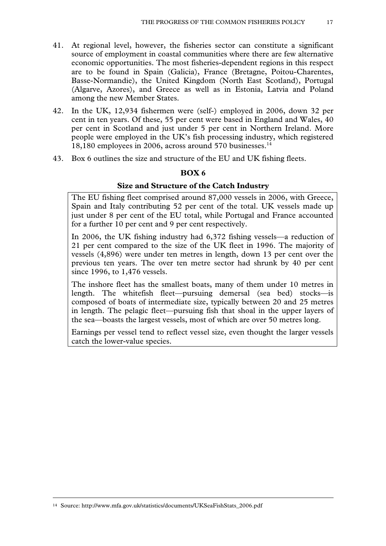- 41. At regional level, however, the fisheries sector can constitute a significant source of employment in coastal communities where there are few alternative economic opportunities. The most fisheries-dependent regions in this respect are to be found in Spain (Galicia), France (Bretagne, Poitou-Charentes, Basse-Normandie), the United Kingdom (North East Scotland), Portugal (Algarve, Azores), and Greece as well as in Estonia, Latvia and Poland among the new Member States.
- 42. In the UK, 12,934 fishermen were (self-) employed in 2006, down 32 per cent in ten years. Of these, 55 per cent were based in England and Wales, 40 per cent in Scotland and just under 5 per cent in Northern Ireland. More people were employed in the UK's fish processing industry, which registered 18,180 employees in 2006, across around 570 businesses.<sup>14</sup>
- 43. Box 6 outlines the size and structure of the EU and UK fishing fleets.

# **BOX 6**

### **Size and Structure of the Catch Industry**

The EU fishing fleet comprised around 87,000 vessels in 2006, with Greece, Spain and Italy contributing 52 per cent of the total. UK vessels made up just under 8 per cent of the EU total, while Portugal and France accounted for a further 10 per cent and 9 per cent respectively.

In 2006, the UK fishing industry had 6,372 fishing vessels—a reduction of 21 per cent compared to the size of the UK fleet in 1996. The majority of vessels (4,896) were under ten metres in length, down 13 per cent over the previous ten years. The over ten metre sector had shrunk by 40 per cent since 1996, to 1,476 vessels.

The inshore fleet has the smallest boats, many of them under 10 metres in length. The whitefish fleet—pursuing demersal (sea bed) stocks—is composed of boats of intermediate size, typically between 20 and 25 metres in length. The pelagic fleet—pursuing fish that shoal in the upper layers of the sea—boasts the largest vessels, most of which are over 50 metres long.

Earnings per vessel tend to reflect vessel size, even thought the larger vessels catch the lower-value species.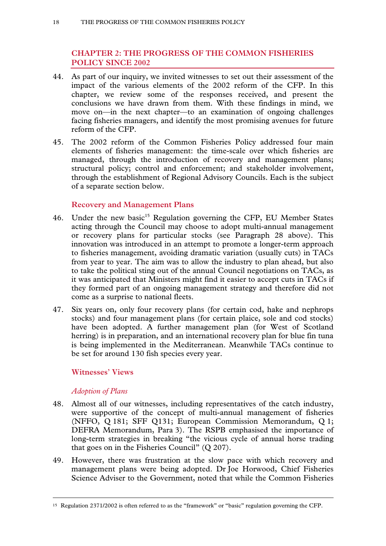# **CHAPTER 2: THE PROGRESS OF THE COMMON FISHERIES POLICY SINCE 2002**

- 44. As part of our inquiry, we invited witnesses to set out their assessment of the impact of the various elements of the 2002 reform of the CFP. In this chapter, we review some of the responses received, and present the conclusions we have drawn from them. With these findings in mind, we move on—in the next chapter—to an examination of ongoing challenges facing fisheries managers, and identify the most promising avenues for future reform of the CFP.
- 45. The 2002 reform of the Common Fisheries Policy addressed four main elements of fisheries management: the time-scale over which fisheries are managed, through the introduction of recovery and management plans; structural policy; control and enforcement; and stakeholder involvement, through the establishment of Regional Advisory Councils. Each is the subject of a separate section below.

# **Recovery and Management Plans**

- 46. Under the new basic<sup>15</sup> Regulation governing the CFP, EU Member States acting through the Council may choose to adopt multi-annual management or recovery plans for particular stocks (see Paragraph 28 above). This innovation was introduced in an attempt to promote a longer-term approach to fisheries management, avoiding dramatic variation (usually cuts) in TACs from year to year. The aim was to allow the industry to plan ahead, but also to take the political sting out of the annual Council negotiations on TACs, as it was anticipated that Ministers might find it easier to accept cuts in TACs if they formed part of an ongoing management strategy and therefore did not come as a surprise to national fleets.
- 47. Six years on, only four recovery plans (for certain cod, hake and nephrops stocks) and four management plans (for certain plaice, sole and cod stocks) have been adopted. A further management plan (for West of Scotland herring) is in preparation, and an international recovery plan for blue fin tuna is being implemented in the Mediterranean. Meanwhile TACs continue to be set for around 130 fish species every year.

# **Witnesses' Views**

# *Adoption of Plans*

- 48. Almost all of our witnesses, including representatives of the catch industry, were supportive of the concept of multi-annual management of fisheries (NFFO, Q 181; SFF Q131; European Commission Memorandum, Q 1; DEFRA Memorandum, Para 3). The RSPB emphasised the importance of long-term strategies in breaking "the vicious cycle of annual horse trading that goes on in the Fisheries Council" (Q 207).
- 49. However, there was frustration at the slow pace with which recovery and management plans were being adopted. Dr Joe Horwood, Chief Fisheries Science Adviser to the Government, noted that while the Common Fisheries

 <sup>15</sup> Regulation 2371/2002 is often referred to as the "framework" or "basic" regulation governing the CFP.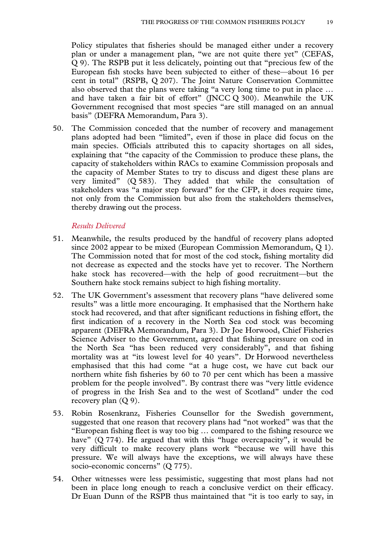Policy stipulates that fisheries should be managed either under a recovery plan or under a management plan, "we are not quite there yet" (CEFAS, Q 9). The RSPB put it less delicately, pointing out that "precious few of the European fish stocks have been subjected to either of these—about 16 per cent in total" (RSPB, Q 207). The Joint Nature Conservation Committee also observed that the plans were taking "a very long time to put in place … and have taken a fair bit of effort" (JNCC Q 300). Meanwhile the UK Government recognised that most species "are still managed on an annual basis" (DEFRA Memorandum, Para 3).

50. The Commission conceded that the number of recovery and management plans adopted had been "limited", even if those in place did focus on the main species. Officials attributed this to capacity shortages on all sides, explaining that "the capacity of the Commission to produce these plans, the capacity of stakeholders within RACs to examine Commission proposals and the capacity of Member States to try to discuss and digest these plans are very limited" (Q 583). They added that while the consultation of stakeholders was "a major step forward" for the CFP, it does require time, not only from the Commission but also from the stakeholders themselves, thereby drawing out the process.

#### *Results Delivered*

- 51. Meanwhile, the results produced by the handful of recovery plans adopted since 2002 appear to be mixed (European Commission Memorandum, Q 1). The Commission noted that for most of the cod stock, fishing mortality did not decrease as expected and the stocks have yet to recover. The Northern hake stock has recovered—with the help of good recruitment—but the Southern hake stock remains subject to high fishing mortality.
- 52. The UK Government's assessment that recovery plans "have delivered some results" was a little more encouraging. It emphasised that the Northern hake stock had recovered, and that after significant reductions in fishing effort, the first indication of a recovery in the North Sea cod stock was becoming apparent (DEFRA Memorandum, Para 3). Dr Joe Horwood, Chief Fisheries Science Adviser to the Government, agreed that fishing pressure on cod in the North Sea "has been reduced very considerably", and that fishing mortality was at "its lowest level for 40 years". Dr Horwood nevertheless emphasised that this had come "at a huge cost, we have cut back our northern white fish fisheries by 60 to 70 per cent which has been a massive problem for the people involved". By contrast there was "very little evidence of progress in the Irish Sea and to the west of Scotland" under the cod recovery plan (Q 9).
- 53. Robin Rosenkranz, Fisheries Counsellor for the Swedish government, suggested that one reason that recovery plans had "not worked" was that the "European fishing fleet is way too big … compared to the fishing resource we have" (Q 774). He argued that with this "huge overcapacity", it would be very difficult to make recovery plans work "because we will have this pressure. We will always have the exceptions, we will always have these socio-economic concerns" (Q 775).
- 54. Other witnesses were less pessimistic, suggesting that most plans had not been in place long enough to reach a conclusive verdict on their efficacy. Dr Euan Dunn of the RSPB thus maintained that "it is too early to say, in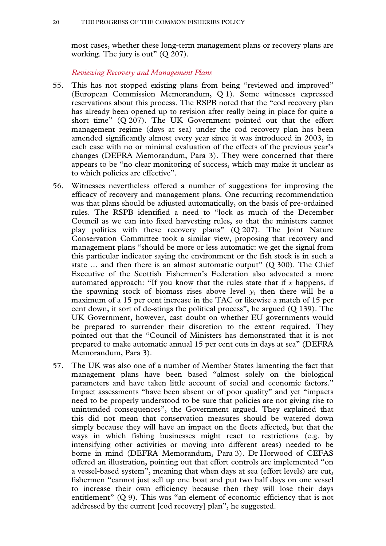most cases, whether these long-term management plans or recovery plans are working. The jury is out" (Q 207).

*Reviewing Recovery and Management Plans* 

- 55. This has not stopped existing plans from being "reviewed and improved" (European Commission Memorandum, Q 1). Some witnesses expressed reservations about this process. The RSPB noted that the "cod recovery plan has already been opened up to revision after really being in place for quite a short time" (Q 207). The UK Government pointed out that the effort management regime (days at sea) under the cod recovery plan has been amended significantly almost every year since it was introduced in 2003, in each case with no or minimal evaluation of the effects of the previous year's changes (DEFRA Memorandum, Para 3). They were concerned that there appears to be "no clear monitoring of success, which may make it unclear as to which policies are effective".
- 56. Witnesses nevertheless offered a number of suggestions for improving the efficacy of recovery and management plans. One recurring recommendation was that plans should be adjusted automatically, on the basis of pre-ordained rules. The RSPB identified a need to "lock as much of the December Council as we can into fixed harvesting rules, so that the ministers cannot play politics with these recovery plans" (Q 207). The Joint Nature Conservation Committee took a similar view, proposing that recovery and management plans "should be more or less automatic: we get the signal from this particular indicator saying the environment or the fish stock is in such a state ... and then there is an almost automatic output" (Q 300). The Chief Executive of the Scottish Fishermen's Federation also advocated a more automated approach: "If you know that the rules state that if *x* happens, if the spawning stock of biomass rises above level  $y$ , then there will be a maximum of a 15 per cent increase in the TAC or likewise a match of 15 per cent down, it sort of de-stings the political process", he argued (Q 139). The UK Government, however, cast doubt on whether EU governments would be prepared to surrender their discretion to the extent required. They pointed out that the "Council of Ministers has demonstrated that it is not prepared to make automatic annual 15 per cent cuts in days at sea" (DEFRA Memorandum, Para 3).
- 57. The UK was also one of a number of Member States lamenting the fact that management plans have been based "almost solely on the biological parameters and have taken little account of social and economic factors." Impact assessments "have been absent or of poor quality" and yet "impacts need to be properly understood to be sure that policies are not giving rise to unintended consequences", the Government argued. They explained that this did not mean that conservation measures should be watered down simply because they will have an impact on the fleets affected, but that the ways in which fishing businesses might react to restrictions (e.g. by intensifying other activities or moving into different areas) needed to be borne in mind (DEFRA Memorandum, Para 3). Dr Horwood of CEFAS offered an illustration, pointing out that effort controls are implemented "on a vessel-based system", meaning that when days at sea (effort levels) are cut, fishermen "cannot just sell up one boat and put two half days on one vessel to increase their own efficiency because then they will lose their days entitlement" (Q 9). This was "an element of economic efficiency that is not addressed by the current [cod recovery] plan", he suggested.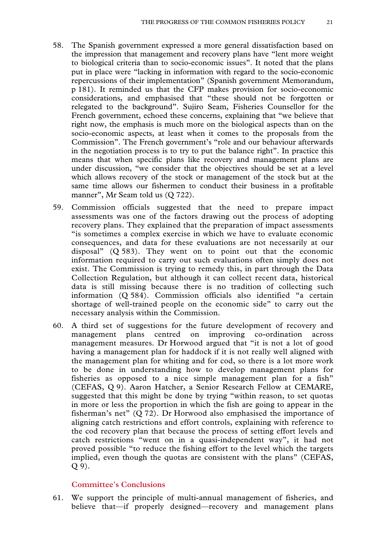- 58. The Spanish government expressed a more general dissatisfaction based on the impression that management and recovery plans have "lent more weight to biological criteria than to socio-economic issues". It noted that the plans put in place were "lacking in information with regard to the socio-economic repercussions of their implementation" (Spanish government Memorandum, p 181). It reminded us that the CFP makes provision for socio-economic considerations, and emphasised that "these should not be forgotten or relegated to the background". Sujiro Seam, Fisheries Counsellor for the French government, echoed these concerns, explaining that "we believe that right now, the emphasis is much more on the biological aspects than on the socio-economic aspects, at least when it comes to the proposals from the Commission". The French government's "role and our behaviour afterwards in the negotiation process is to try to put the balance right". In practice this means that when specific plans like recovery and management plans are under discussion, "we consider that the objectives should be set at a level which allows recovery of the stock or management of the stock but at the same time allows our fishermen to conduct their business in a profitable manner", Mr Seam told us (Q 722).
- 59. Commission officials suggested that the need to prepare impact assessments was one of the factors drawing out the process of adopting recovery plans. They explained that the preparation of impact assessments "is sometimes a complex exercise in which we have to evaluate economic consequences, and data for these evaluations are not necessarily at our disposal" (Q 583). They went on to point out that the economic information required to carry out such evaluations often simply does not exist. The Commission is trying to remedy this, in part through the Data Collection Regulation, but although it can collect recent data, historical data is still missing because there is no tradition of collecting such information (Q 584). Commission officials also identified "a certain shortage of well-trained people on the economic side" to carry out the necessary analysis within the Commission.
- 60. A third set of suggestions for the future development of recovery and management plans centred on improving co-ordination across management measures. Dr Horwood argued that "it is not a lot of good having a management plan for haddock if it is not really well aligned with the management plan for whiting and for cod, so there is a lot more work to be done in understanding how to develop management plans for fisheries as opposed to a nice simple management plan for a fish" (CEFAS, Q 9). Aaron Hatcher, a Senior Research Fellow at CEMARE, suggested that this might be done by trying "within reason, to set quotas in more or less the proportion in which the fish are going to appear in the fisherman's net" (Q 72). Dr Horwood also emphasised the importance of aligning catch restrictions and effort controls, explaining with reference to the cod recovery plan that because the process of setting effort levels and catch restrictions "went on in a quasi-independent way", it had not proved possible "to reduce the fishing effort to the level which the targets implied, even though the quotas are consistent with the plans" (CEFAS, Q 9).

# **Committee's Conclusions**

61. We support the principle of multi-annual management of fisheries, and believe that—if properly designed—recovery and management plans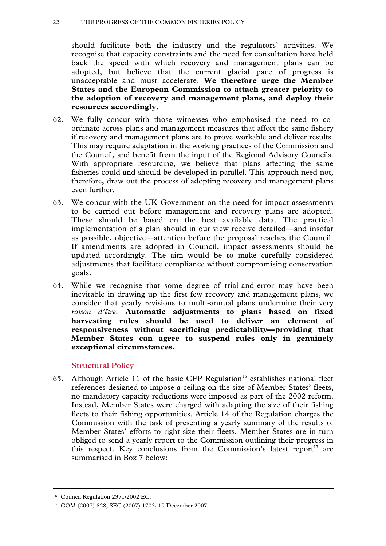#### 22 THE PROGRESS OF THE COMMON FISHERIES POLICY

should facilitate both the industry and the regulators' activities. We recognise that capacity constraints and the need for consultation have held back the speed with which recovery and management plans can be adopted, but believe that the current glacial pace of progress is unacceptable and must accelerate. **We therefore urge the Member States and the European Commission to attach greater priority to the adoption of recovery and management plans, and deploy their resources accordingly.** 

- 62. We fully concur with those witnesses who emphasised the need to coordinate across plans and management measures that affect the same fishery if recovery and management plans are to prove workable and deliver results. This may require adaptation in the working practices of the Commission and the Council, and benefit from the input of the Regional Advisory Councils. With appropriate resourcing, we believe that plans affecting the same fisheries could and should be developed in parallel. This approach need not, therefore, draw out the process of adopting recovery and management plans even further.
- 63. We concur with the UK Government on the need for impact assessments to be carried out before management and recovery plans are adopted. These should be based on the best available data. The practical implementation of a plan should in our view receive detailed—and insofar as possible, objective—attention before the proposal reaches the Council. If amendments are adopted in Council, impact assessments should be updated accordingly. The aim would be to make carefully considered adjustments that facilitate compliance without compromising conservation goals.
- 64. While we recognise that some degree of trial-and-error may have been inevitable in drawing up the first few recovery and management plans, we consider that yearly revisions to multi-annual plans undermine their very *raison d'être*. **Automatic adjustments to plans based on fixed harvesting rules should be used to deliver an element of responsiveness without sacrificing predictability—providing that Member States can agree to suspend rules only in genuinely exceptional circumstances.**

#### **Structural Policy**

65. Although Article 11 of the basic CFP Regulation<sup>16</sup> establishes national fleet references designed to impose a ceiling on the size of Member States' fleets, no mandatory capacity reductions were imposed as part of the 2002 reform. Instead, Member States were charged with adapting the size of their fishing fleets to their fishing opportunities. Article 14 of the Regulation charges the Commission with the task of presenting a yearly summary of the results of Member States' efforts to right-size their fleets. Member States are in turn obliged to send a yearly report to the Commission outlining their progress in this respect. Key conclusions from the Commission's latest report<sup>17</sup> are summarised in Box 7 below:

 <sup>16</sup> Council Regulation 2371/2002 EC.

<sup>17</sup> COM (2007) 828; SEC (2007) 1703, 19 December 2007.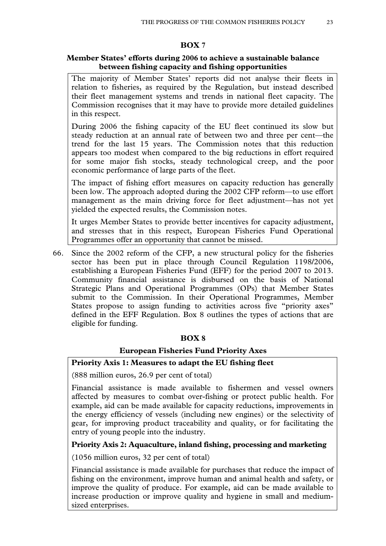# **BOX 7**

# **Member States' efforts during 2006 to achieve a sustainable balance between fishing capacity and fishing opportunities**

The majority of Member States' reports did not analyse their fleets in relation to fisheries, as required by the Regulation, but instead described their fleet management systems and trends in national fleet capacity. The Commission recognises that it may have to provide more detailed guidelines in this respect.

During 2006 the fishing capacity of the EU fleet continued its slow but steady reduction at an annual rate of between two and three per cent—the trend for the last 15 years. The Commission notes that this reduction appears too modest when compared to the big reductions in effort required for some major fish stocks, steady technological creep, and the poor economic performance of large parts of the fleet.

The impact of fishing effort measures on capacity reduction has generally been low. The approach adopted during the 2002 CFP reform—to use effort management as the main driving force for fleet adjustment—has not yet yielded the expected results, the Commission notes.

It urges Member States to provide better incentives for capacity adjustment, and stresses that in this respect, European Fisheries Fund Operational Programmes offer an opportunity that cannot be missed.

66. Since the 2002 reform of the CFP, a new structural policy for the fisheries sector has been put in place through Council Regulation 1198/2006, establishing a European Fisheries Fund (EFF) for the period 2007 to 2013. Community financial assistance is disbursed on the basis of National Strategic Plans and Operational Programmes (OPs) that Member States submit to the Commission. In their Operational Programmes, Member States propose to assign funding to activities across five "priority axes" defined in the EFF Regulation. Box 8 outlines the types of actions that are eligible for funding.

# **BOX 8**

# **European Fisheries Fund Priority Axes**

# **Priority Axis 1: Measures to adapt the EU fishing fleet**

(888 million euros, 26.9 per cent of total)

Financial assistance is made available to fishermen and vessel owners affected by measures to combat over-fishing or protect public health. For example, aid can be made available for capacity reductions, improvements in the energy efficiency of vessels (including new engines) or the selectivity of gear, for improving product traceability and quality, or for facilitating the entry of young people into the industry.

# **Priority Axis 2: Aquaculture, inland fishing, processing and marketing**

(1056 million euros, 32 per cent of total)

Financial assistance is made available for purchases that reduce the impact of fishing on the environment, improve human and animal health and safety, or improve the quality of produce. For example, aid can be made available to increase production or improve quality and hygiene in small and mediumsized enterprises.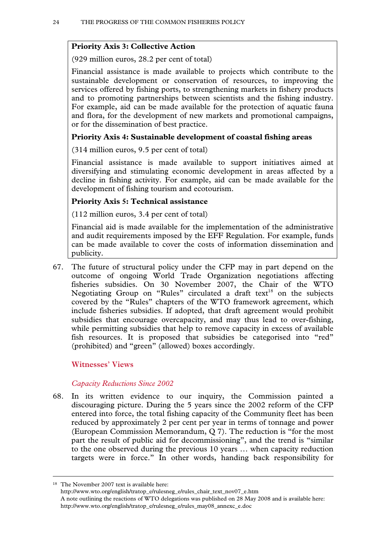# **Priority Axis 3: Collective Action**

(929 million euros, 28.2 per cent of total)

Financial assistance is made available to projects which contribute to the sustainable development or conservation of resources, to improving the services offered by fishing ports, to strengthening markets in fishery products and to promoting partnerships between scientists and the fishing industry. For example, aid can be made available for the protection of aquatic fauna and flora, for the development of new markets and promotional campaigns, or for the dissemination of best practice.

# **Priority Axis 4: Sustainable development of coastal fishing areas**

(314 million euros, 9.5 per cent of total)

Financial assistance is made available to support initiatives aimed at diversifying and stimulating economic development in areas affected by a decline in fishing activity. For example, aid can be made available for the development of fishing tourism and ecotourism.

### **Priority Axis 5: Technical assistance**

(112 million euros, 3.4 per cent of total)

Financial aid is made available for the implementation of the administrative and audit requirements imposed by the EFF Regulation. For example, funds can be made available to cover the costs of information dissemination and publicity.

67. The future of structural policy under the CFP may in part depend on the outcome of ongoing World Trade Organization negotiations affecting fisheries subsidies. On 30 November 2007, the Chair of the WTO Negotiating Group on "Rules" circulated a draft text $18$  on the subjects covered by the "Rules" chapters of the WTO framework agreement, which include fisheries subsidies. If adopted, that draft agreement would prohibit subsidies that encourage overcapacity, and may thus lead to over-fishing, while permitting subsidies that help to remove capacity in excess of available fish resources. It is proposed that subsidies be categorised into "red" (prohibited) and "green" (allowed) boxes accordingly.

#### **Witnesses' Views**

#### *Capacity Reductions Since 2002*

68. In its written evidence to our inquiry, the Commission painted a discouraging picture. During the 5 years since the 2002 reform of the CFP entered into force, the total fishing capacity of the Community fleet has been reduced by approximately 2 per cent per year in terms of tonnage and power (European Commission Memorandum, Q 7). The reduction is "for the most part the result of public aid for decommissioning", and the trend is "similar to the one observed during the previous 10 years … when capacity reduction targets were in force." In other words, handing back responsibility for

 <sup>18</sup> The November 2007 text is available here:

http://www.wto.org/english/tratop\_e/rulesneg\_e/rules\_chair\_text\_nov07\_e.htm A note outlining the reactions of WTO delegations was published on 28 May 2008 and is available here: http://www.wto.org/english/tratop\_e/rulesneg\_e/rules\_may08\_annexc\_e.doc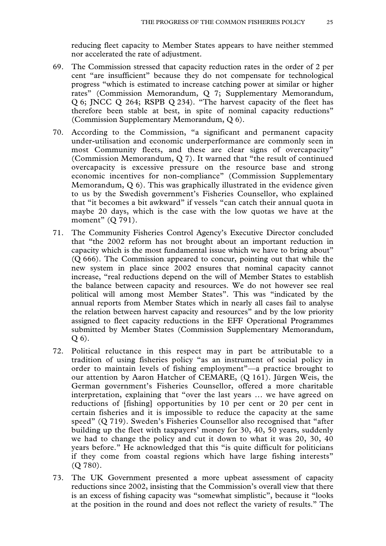reducing fleet capacity to Member States appears to have neither stemmed nor accelerated the rate of adjustment.

- 69. The Commission stressed that capacity reduction rates in the order of 2 per cent "are insufficient" because they do not compensate for technological progress "which is estimated to increase catching power at similar or higher rates" (Commission Memorandum, Q 7; Supplementary Memorandum, Q 6; JNCC Q 264; RSPB Q 234). "The harvest capacity of the fleet has therefore been stable at best, in spite of nominal capacity reductions" (Commission Supplementary Memorandum, Q 6).
- 70. According to the Commission, "a significant and permanent capacity under-utilisation and economic underperformance are commonly seen in most Community fleets, and these are clear signs of overcapacity" (Commission Memorandum, Q 7). It warned that "the result of continued overcapacity is excessive pressure on the resource base and strong economic incentives for non-compliance" (Commission Supplementary Memorandum, Q 6). This was graphically illustrated in the evidence given to us by the Swedish government's Fisheries Counsellor, who explained that "it becomes a bit awkward" if vessels "can catch their annual quota in maybe 20 days, which is the case with the low quotas we have at the moment" (Q 791).
- 71. The Community Fisheries Control Agency's Executive Director concluded that "the 2002 reform has not brought about an important reduction in capacity which is the most fundamental issue which we have to bring about" (Q 666). The Commission appeared to concur, pointing out that while the new system in place since 2002 ensures that nominal capacity cannot increase, "real reductions depend on the will of Member States to establish the balance between capacity and resources. We do not however see real political will among most Member States". This was "indicated by the annual reports from Member States which in nearly all cases fail to analyse the relation between harvest capacity and resources" and by the low priority assigned to fleet capacity reductions in the EFF Operational Programmes submitted by Member States (Commission Supplementary Memorandum, Q 6).
- 72. Political reluctance in this respect may in part be attributable to a tradition of using fisheries policy "as an instrument of social policy in order to maintain levels of fishing employment"—a practice brought to our attention by Aaron Hatcher of CEMARE, (Q 161). Jürgen Weis, the German government's Fisheries Counsellor, offered a more charitable interpretation, explaining that "over the last years … we have agreed on reductions of [fishing] opportunities by 10 per cent or 20 per cent in certain fisheries and it is impossible to reduce the capacity at the same speed" (Q 719). Sweden's Fisheries Counsellor also recognised that "after building up the fleet with taxpayers' money for 30, 40, 50 years, suddenly we had to change the policy and cut it down to what it was 20, 30, 40 years before." He acknowledged that this "is quite difficult for politicians if they come from coastal regions which have large fishing interests" (Q 780).
- 73. The UK Government presented a more upbeat assessment of capacity reductions since 2002, insisting that the Commission's overall view that there is an excess of fishing capacity was "somewhat simplistic", because it "looks at the position in the round and does not reflect the variety of results." The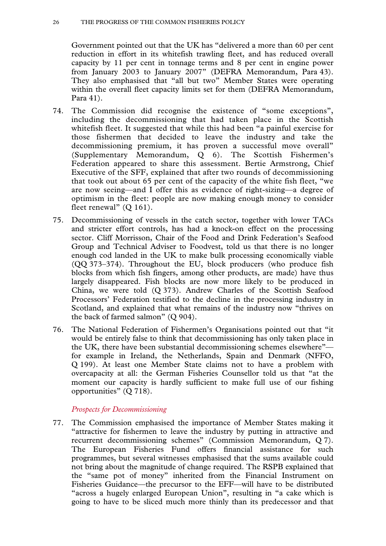Government pointed out that the UK has "delivered a more than 60 per cent reduction in effort in its whitefish trawling fleet, and has reduced overall capacity by 11 per cent in tonnage terms and 8 per cent in engine power from January 2003 to January 2007" (DEFRA Memorandum, Para 43). They also emphasised that "all but two" Member States were operating within the overall fleet capacity limits set for them (DEFRA Memorandum, Para 41).

- 74. The Commission did recognise the existence of "some exceptions", including the decommissioning that had taken place in the Scottish whitefish fleet. It suggested that while this had been "a painful exercise for those fishermen that decided to leave the industry and take the decommissioning premium, it has proven a successful move overall" (Supplementary Memorandum, Q 6). The Scottish Fishermen's Federation appeared to share this assessment. Bertie Armstrong, Chief Executive of the SFF, explained that after two rounds of decommissioning that took out about 65 per cent of the capacity of the white fish fleet, "we are now seeing—and I offer this as evidence of right-sizing—a degree of optimism in the fleet: people are now making enough money to consider fleet renewal" (Q 161).
- 75. Decommissioning of vessels in the catch sector, together with lower TACs and stricter effort controls, has had a knock-on effect on the processing sector. Cliff Morrisson, Chair of the Food and Drink Federation's Seafood Group and Technical Adviser to Foodvest, told us that there is no longer enough cod landed in the UK to make bulk processing economically viable (QQ 373–374). Throughout the EU, block producers (who produce fish blocks from which fish fingers, among other products, are made) have thus largely disappeared. Fish blocks are now more likely to be produced in China, we were told (Q 373). Andrew Charles of the Scottish Seafood Processors' Federation testified to the decline in the processing industry in Scotland, and explained that what remains of the industry now "thrives on the back of farmed salmon" (Q 904).
- 76. The National Federation of Fishermen's Organisations pointed out that "it would be entirely false to think that decommissioning has only taken place in the UK, there have been substantial decommissioning schemes elsewhere" for example in Ireland, the Netherlands, Spain and Denmark (NFFO, Q 199). At least one Member State claims not to have a problem with overcapacity at all: the German Fisheries Counsellor told us that "at the moment our capacity is hardly sufficient to make full use of our fishing opportunities" (Q 718).

#### *Prospects for Decommissioning*

77. The Commission emphasised the importance of Member States making it "attractive for fishermen to leave the industry by putting in attractive and recurrent decommissioning schemes" (Commission Memorandum, Q 7). The European Fisheries Fund offers financial assistance for such programmes, but several witnesses emphasised that the sums available could not bring about the magnitude of change required. The RSPB explained that the "same pot of money" inherited from the Financial Instrument on Fisheries Guidance—the precursor to the EFF—will have to be distributed "across a hugely enlarged European Union", resulting in "a cake which is going to have to be sliced much more thinly than its predecessor and that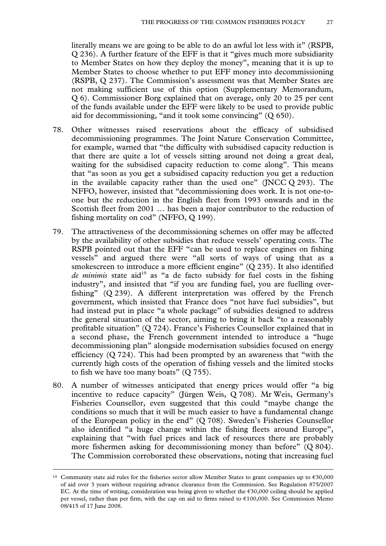literally means we are going to be able to do an awful lot less with it" (RSPB, Q 236). A further feature of the EFF is that it "gives much more subsidiarity to Member States on how they deploy the money", meaning that it is up to Member States to choose whether to put EFF money into decommissioning (RSPB, Q 237). The Commission's assessment was that Member States are not making sufficient use of this option (Supplementary Memorandum, Q 6). Commissioner Borg explained that on average, only 20 to 25 per cent of the funds available under the EFF were likely to be used to provide public aid for decommissioning, "and it took some convincing" (Q 650).

- 78. Other witnesses raised reservations about the efficacy of subsidised decommissioning programmes. The Joint Nature Conservation Committee, for example, warned that "the difficulty with subsidised capacity reduction is that there are quite a lot of vessels sitting around not doing a great deal, waiting for the subsidised capacity reduction to come along". This means that "as soon as you get a subsidised capacity reduction you get a reduction in the available capacity rather than the used one" (JNCC Q 293). The NFFO, however, insisted that "decommissioning does work. It is not one-toone but the reduction in the English fleet from 1993 onwards and in the Scottish fleet from 2001 … has been a major contributor to the reduction of fishing mortality on cod" (NFFO, Q 199).
- 79. The attractiveness of the decommissioning schemes on offer may be affected by the availability of other subsidies that reduce vessels' operating costs. The RSPB pointed out that the EFF "can be used to replace engines on fishing vessels" and argued there were "all sorts of ways of using that as a smokescreen to introduce a more efficient engine" (Q 235). It also identified *de minimis* state aid<sup>19</sup> as "a de facto subsidy for fuel costs in the fishing industry", and insisted that "if you are funding fuel, you are fuelling overfishing" (Q 239). A different interpretation was offered by the French government, which insisted that France does "not have fuel subsidies", but had instead put in place "a whole package" of subsidies designed to address the general situation of the sector, aiming to bring it back "to a reasonably profitable situation" (Q 724). France's Fisheries Counsellor explained that in a second phase, the French government intended to introduce a "huge decommissioning plan" alongside modernisation subsidies focused on energy efficiency (Q 724). This had been prompted by an awareness that "with the currently high costs of the operation of fishing vessels and the limited stocks to fish we have too many boats" (Q 755).
- 80. A number of witnesses anticipated that energy prices would offer "a big incentive to reduce capacity" (Jürgen Weis, Q 708). Mr Weis, Germany's Fisheries Counsellor, even suggested that this could "maybe change the conditions so much that it will be much easier to have a fundamental change of the European policy in the end" (Q 708). Sweden's Fisheries Counsellor also identified "a huge change within the fishing fleets around Europe", explaining that "with fuel prices and lack of resources there are probably more fishermen asking for decommissioning money than before" (Q 804). The Commission corroborated these observations, noting that increasing fuel

<sup>&</sup>lt;sup>19</sup> Community state aid rules for the fisheries sector allow Member States to grant companies up to  $\epsilon$ 30,000 of aid over 3 years without requiring advance clearance from the Commission. See Regulation 875/2007 EC. At the time of writing, consideration was being given to whether the  $\epsilon$ 30,000 ceiling should be applied per vessel, rather than per firm, with the cap on aid to firms raised to €100,000. See Commission Memo 08/415 of 17 June 2008.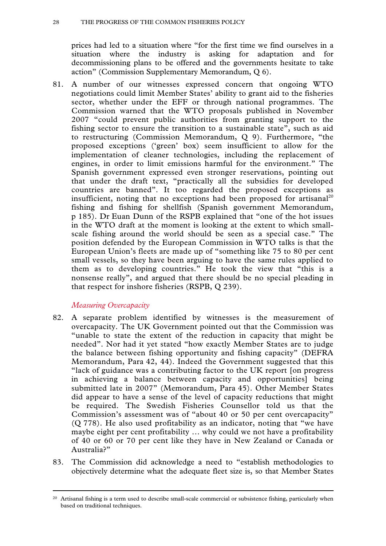#### 28 THE PROGRESS OF THE COMMON FISHERIES POLICY

prices had led to a situation where "for the first time we find ourselves in a situation where the industry is asking for adaptation and for decommissioning plans to be offered and the governments hesitate to take action" (Commission Supplementary Memorandum, Q 6).

81. A number of our witnesses expressed concern that ongoing WTO negotiations could limit Member States' ability to grant aid to the fisheries sector, whether under the EFF or through national programmes. The Commission warned that the WTO proposals published in November 2007 "could prevent public authorities from granting support to the fishing sector to ensure the transition to a sustainable state", such as aid to restructuring (Commission Memorandum, Q 9). Furthermore, "the proposed exceptions ('green' box) seem insufficient to allow for the implementation of cleaner technologies, including the replacement of engines, in order to limit emissions harmful for the environment." The Spanish government expressed even stronger reservations, pointing out that under the draft text, "practically all the subsidies for developed countries are banned". It too regarded the proposed exceptions as insufficient, noting that no exceptions had been proposed for artisanal<sup>20</sup> fishing and fishing for shellfish (Spanish government Memorandum, p 185). Dr Euan Dunn of the RSPB explained that "one of the hot issues in the WTO draft at the moment is looking at the extent to which smallscale fishing around the world should be seen as a special case." The position defended by the European Commission in WTO talks is that the European Union's fleets are made up of "something like 75 to 80 per cent small vessels, so they have been arguing to have the same rules applied to them as to developing countries." He took the view that "this is a nonsense really", and argued that there should be no special pleading in that respect for inshore fisheries (RSPB, Q 239).

# *Measuring Overcapacity*

- 82. A separate problem identified by witnesses is the measurement of overcapacity. The UK Government pointed out that the Commission was "unable to state the extent of the reduction in capacity that might be needed". Nor had it yet stated "how exactly Member States are to judge the balance between fishing opportunity and fishing capacity" (DEFRA Memorandum, Para 42, 44). Indeed the Government suggested that this "lack of guidance was a contributing factor to the UK report [on progress in achieving a balance between capacity and opportunities] being submitted late in 2007" (Memorandum, Para 45). Other Member States did appear to have a sense of the level of capacity reductions that might be required. The Swedish Fisheries Counsellor told us that the Commission's assessment was of "about 40 or 50 per cent overcapacity" (Q 778). He also used profitability as an indicator, noting that "we have maybe eight per cent profitability … why could we not have a profitability of 40 or 60 or 70 per cent like they have in New Zealand or Canada or Australia?"
- 83. The Commission did acknowledge a need to "establish methodologies to objectively determine what the adequate fleet size is, so that Member States

<sup>&</sup>lt;sup>20</sup> Artisanal fishing is a term used to describe small-scale commercial or subsistence fishing, particularly when based on traditional techniques.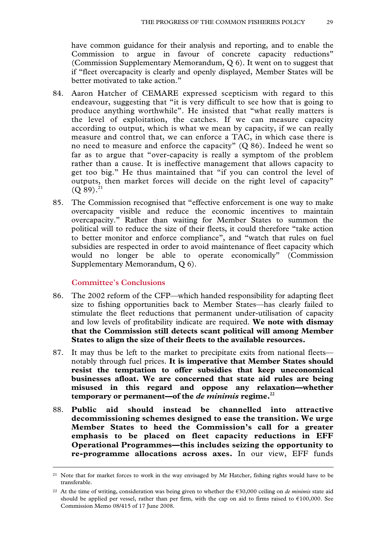have common guidance for their analysis and reporting, and to enable the Commission to argue in favour of concrete capacity reductions" (Commission Supplementary Memorandum, Q 6). It went on to suggest that if "fleet overcapacity is clearly and openly displayed, Member States will be better motivated to take action."

- 84. Aaron Hatcher of CEMARE expressed scepticism with regard to this endeavour, suggesting that "it is very difficult to see how that is going to produce anything worthwhile". He insisted that "what really matters is the level of exploitation, the catches. If we can measure capacity according to output, which is what we mean by capacity, if we can really measure and control that, we can enforce a TAC, in which case there is no need to measure and enforce the capacity" (Q 86). Indeed he went so far as to argue that "over-capacity is really a symptom of the problem rather than a cause. It is ineffective management that allows capacity to get too big." He thus maintained that "if you can control the level of outputs, then market forces will decide on the right level of capacity"  $(Q 89).^{21}$
- 85. The Commission recognised that "effective enforcement is one way to make overcapacity visible and reduce the economic incentives to maintain overcapacity." Rather than waiting for Member States to summon the political will to reduce the size of their fleets, it could therefore "take action to better monitor and enforce compliance", and "watch that rules on fuel subsidies are respected in order to avoid maintenance of fleet capacity which would no longer be able to operate economically" (Commission Supplementary Memorandum, Q 6).

#### **Committee's Conclusions**

- 86. The 2002 reform of the CFP—which handed responsibility for adapting fleet size to fishing opportunities back to Member States—has clearly failed to stimulate the fleet reductions that permanent under-utilisation of capacity and low levels of profitability indicate are required. **We note with dismay that the Commission still detects scant political will among Member States to align the size of their fleets to the available resources.**
- 87. It may thus be left to the market to precipitate exits from national fleets notably through fuel prices. **It is imperative that Member States should resist the temptation to offer subsidies that keep uneconomical businesses afloat. We are concerned that state aid rules are being misused in this regard and oppose any relaxation—whether temporary or permanent—of the** *de minimis* **regime.22**
- 88. **Public aid should instead be channelled into attractive decommissioning schemes designed to ease the transition. We urge Member States to heed the Commission's call for a greater emphasis to be placed on fleet capacity reductions in EFF Operational Programmes—this includes seizing the opportunity to re-programme allocations across axes.** In our view, EFF funds

<sup>&</sup>lt;sup>21</sup> Note that for market forces to work in the way envisaged by Mr Hatcher, fishing rights would have to be transferable.

<sup>22</sup> At the time of writing, consideration was being given to whether the €30,000 ceiling on *de minimis* state aid should be applied per vessel, rather than per firm, with the cap on aid to firms raised to  $€100,000$ . See Commission Memo 08/415 of 17 June 2008.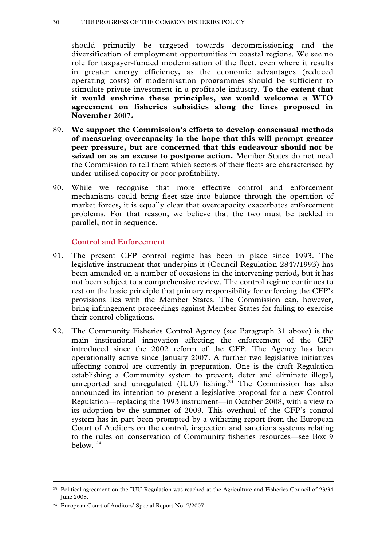should primarily be targeted towards decommissioning and the diversification of employment opportunities in coastal regions. We see no role for taxpayer-funded modernisation of the fleet, even where it results in greater energy efficiency, as the economic advantages (reduced operating costs) of modernisation programmes should be sufficient to stimulate private investment in a profitable industry. **To the extent that it would enshrine these principles, we would welcome a WTO agreement on fisheries subsidies along the lines proposed in November 2007.** 

- 89. **We support the Commission's efforts to develop consensual methods of measuring overcapacity in the hope that this will prompt greater peer pressure, but are concerned that this endeavour should not be seized on as an excuse to postpone action.** Member States do not need the Commission to tell them which sectors of their fleets are characterised by under-utilised capacity or poor profitability.
- 90. While we recognise that more effective control and enforcement mechanisms could bring fleet size into balance through the operation of market forces, it is equally clear that overcapacity exacerbates enforcement problems. For that reason, we believe that the two must be tackled in parallel, not in sequence.

#### **Control and Enforcement**

- 91. The present CFP control regime has been in place since 1993. The legislative instrument that underpins it (Council Regulation 2847/1993) has been amended on a number of occasions in the intervening period, but it has not been subject to a comprehensive review. The control regime continues to rest on the basic principle that primary responsibility for enforcing the CFP's provisions lies with the Member States. The Commission can, however, bring infringement proceedings against Member States for failing to exercise their control obligations.
- 92. The Community Fisheries Control Agency (see Paragraph 31 above) is the main institutional innovation affecting the enforcement of the CFP introduced since the 2002 reform of the CFP. The Agency has been operationally active since January 2007. A further two legislative initiatives affecting control are currently in preparation. One is the draft Regulation establishing a Community system to prevent, deter and eliminate illegal, unreported and unregulated (IUU) fishing.<sup>23</sup> The Commission has also announced its intention to present a legislative proposal for a new Control Regulation—replacing the 1993 instrument—in October 2008, with a view to its adoption by the summer of 2009. This overhaul of the CFP's control system has in part been prompted by a withering report from the European Court of Auditors on the control, inspection and sanctions systems relating to the rules on conservation of Community fisheries resources—see Box 9 below. 24

<sup>&</sup>lt;sup>23</sup> Political agreement on the IUU Regulation was reached at the Agriculture and Fisheries Council of 23/34 June 2008.

<sup>24</sup> European Court of Auditors' Special Report No. 7/2007.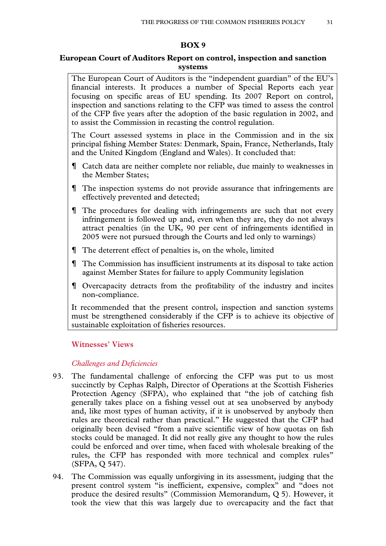#### **BOX 9**

#### **European Court of Auditors Report on control, inspection and sanction systems**

The European Court of Auditors is the "independent guardian" of the EU's financial interests. It produces a number of Special Reports each year focusing on specific areas of EU spending. Its 2007 Report on control, inspection and sanctions relating to the CFP was timed to assess the control of the CFP five years after the adoption of the basic regulation in 2002, and to assist the Commission in recasting the control regulation.

The Court assessed systems in place in the Commission and in the six principal fishing Member States: Denmark, Spain, France, Netherlands, Italy and the United Kingdom (England and Wales). It concluded that:

- Catch data are neither complete nor reliable, due mainly to weaknesses in the Member States;
- The inspection systems do not provide assurance that infringements are effectively prevented and detected;
- The procedures for dealing with infringements are such that not every infringement is followed up and, even when they are, they do not always attract penalties (in the UK, 90 per cent of infringements identified in 2005 were not pursued through the Courts and led only to warnings)
- The deterrent effect of penalties is, on the whole, limited
- The Commission has insufficient instruments at its disposal to take action against Member States for failure to apply Community legislation
- Overcapacity detracts from the profitability of the industry and incites non-compliance.

It recommended that the present control, inspection and sanction systems must be strengthened considerably if the CFP is to achieve its objective of sustainable exploitation of fisheries resources.

# **Witnesses' Views**

#### *Challenges and Deficiencies*

- 93. The fundamental challenge of enforcing the CFP was put to us most succinctly by Cephas Ralph, Director of Operations at the Scottish Fisheries Protection Agency (SFPA), who explained that "the job of catching fish generally takes place on a fishing vessel out at sea unobserved by anybody and, like most types of human activity, if it is unobserved by anybody then rules are theoretical rather than practical." He suggested that the CFP had originally been devised "from a naïve scientific view of how quotas on fish stocks could be managed. It did not really give any thought to how the rules could be enforced and over time, when faced with wholesale breaking of the rules, the CFP has responded with more technical and complex rules" (SFPA, Q 547).
- 94. The Commission was equally unforgiving in its assessment, judging that the present control system "is inefficient, expensive, complex" and "does not produce the desired results" (Commission Memorandum, Q 5). However, it took the view that this was largely due to overcapacity and the fact that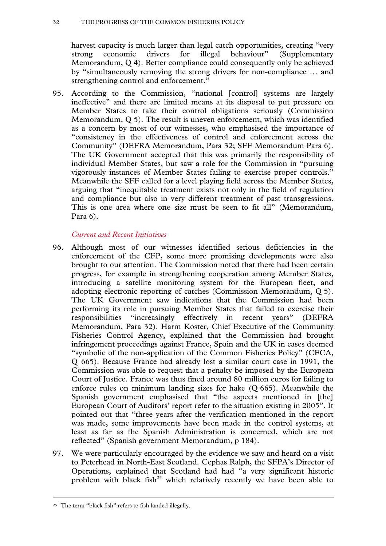#### 32 THE PROGRESS OF THE COMMON FISHERIES POLICY

harvest capacity is much larger than legal catch opportunities, creating "very strong economic drivers for illegal behaviour" (Supplementary Memorandum, Q 4). Better compliance could consequently only be achieved by "simultaneously removing the strong drivers for non-compliance … and strengthening control and enforcement."

95. According to the Commission, "national [control] systems are largely ineffective" and there are limited means at its disposal to put pressure on Member States to take their control obligations seriously (Commission Memorandum, Q 5). The result is uneven enforcement, which was identified as a concern by most of our witnesses, who emphasised the importance of "consistency in the effectiveness of control and enforcement across the Community" (DEFRA Memorandum, Para 32; SFF Memorandum Para 6). The UK Government accepted that this was primarily the responsibility of individual Member States, but saw a role for the Commission in "pursuing vigorously instances of Member States failing to exercise proper controls." Meanwhile the SFF called for a level playing field across the Member States, arguing that "inequitable treatment exists not only in the field of regulation and compliance but also in very different treatment of past transgressions. This is one area where one size must be seen to fit all" (Memorandum, Para 6).

# *Current and Recent Initiatives*

- 96. Although most of our witnesses identified serious deficiencies in the enforcement of the CFP, some more promising developments were also brought to our attention. The Commission noted that there had been certain progress, for example in strengthening cooperation among Member States, introducing a satellite monitoring system for the European fleet, and adopting electronic reporting of catches (Commission Memorandum, Q 5). The UK Government saw indications that the Commission had been performing its role in pursuing Member States that failed to exercise their responsibilities "increasingly effectively in recent years" (DEFRA Memorandum, Para 32). Harm Koster, Chief Executive of the Community Fisheries Control Agency, explained that the Commission had brought infringement proceedings against France, Spain and the UK in cases deemed "symbolic of the non-application of the Common Fisheries Policy" (CFCA, Q 665). Because France had already lost a similar court case in 1991, the Commission was able to request that a penalty be imposed by the European Court of Justice. France was thus fined around 80 million euros for failing to enforce rules on minimum landing sizes for hake (Q 665). Meanwhile the Spanish government emphasised that "the aspects mentioned in [the] European Court of Auditors' report refer to the situation existing in 2005". It pointed out that "three years after the verification mentioned in the report was made, some improvements have been made in the control systems, at least as far as the Spanish Administration is concerned, which are not reflected" (Spanish government Memorandum, p 184).
- 97. We were particularly encouraged by the evidence we saw and heard on a visit to Peterhead in North-East Scotland. Cephas Ralph, the SFPA's Director of Operations, explained that Scotland had had "a very significant historic problem with black fish<sup>25</sup> which relatively recently we have been able to

 <sup>25</sup> The term "black fish" refers to fish landed illegally.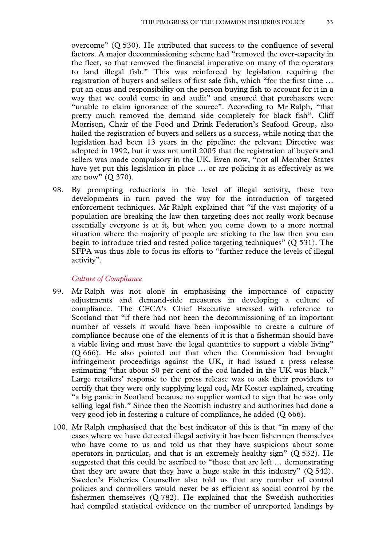overcome" (Q 530). He attributed that success to the confluence of several factors. A major decommissioning scheme had "removed the over-capacity in the fleet, so that removed the financial imperative on many of the operators to land illegal fish." This was reinforced by legislation requiring the registration of buyers and sellers of first sale fish, which "for the first time … put an onus and responsibility on the person buying fish to account for it in a way that we could come in and audit" and ensured that purchasers were "unable to claim ignorance of the source". According to Mr Ralph, "that pretty much removed the demand side completely for black fish". Cliff Morrison, Chair of the Food and Drink Federation's Seafood Group, also hailed the registration of buyers and sellers as a success, while noting that the legislation had been 13 years in the pipeline: the relevant Directive was adopted in 1992, but it was not until 2005 that the registration of buyers and sellers was made compulsory in the UK. Even now, "not all Member States have yet put this legislation in place … or are policing it as effectively as we are now" (Q 370).

98. By prompting reductions in the level of illegal activity, these two developments in turn paved the way for the introduction of targeted enforcement techniques. Mr Ralph explained that "if the vast majority of a population are breaking the law then targeting does not really work because essentially everyone is at it, but when you come down to a more normal situation where the majority of people are sticking to the law then you can begin to introduce tried and tested police targeting techniques" (Q 531). The SFPA was thus able to focus its efforts to "further reduce the levels of illegal activity".

#### *Culture of Compliance*

- 99. Mr Ralph was not alone in emphasising the importance of capacity adjustments and demand-side measures in developing a culture of compliance. The CFCA's Chief Executive stressed with reference to Scotland that "if there had not been the decommissioning of an important number of vessels it would have been impossible to create a culture of compliance because one of the elements of it is that a fisherman should have a viable living and must have the legal quantities to support a viable living" (Q 666). He also pointed out that when the Commission had brought infringement proceedings against the UK, it had issued a press release estimating "that about 50 per cent of the cod landed in the UK was black." Large retailers' response to the press release was to ask their providers to certify that they were only supplying legal cod, Mr Koster explained, creating "a big panic in Scotland because no supplier wanted to sign that he was only selling legal fish." Since then the Scottish industry and authorities had done a very good job in fostering a culture of compliance, he added (Q 666).
- 100. Mr Ralph emphasised that the best indicator of this is that "in many of the cases where we have detected illegal activity it has been fishermen themselves who have come to us and told us that they have suspicions about some operators in particular, and that is an extremely healthy sign" (Q 532). He suggested that this could be ascribed to "those that are left … demonstrating that they are aware that they have a huge stake in this industry"  $(Q 542)$ . Sweden's Fisheries Counsellor also told us that any number of control policies and controllers would never be as efficient as social control by the fishermen themselves (Q 782). He explained that the Swedish authorities had compiled statistical evidence on the number of unreported landings by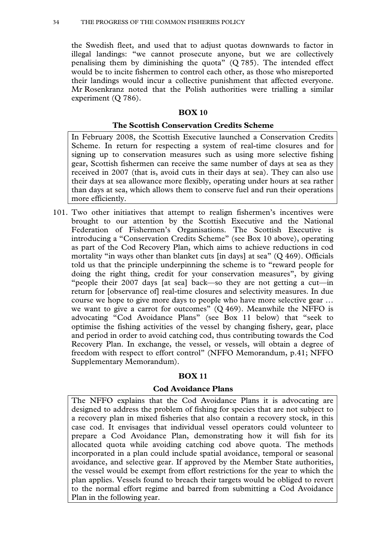the Swedish fleet, and used that to adjust quotas downwards to factor in illegal landings: "we cannot prosecute anyone, but we are collectively penalising them by diminishing the quota"  $(Q 785)$ . The intended effect would be to incite fishermen to control each other, as those who misreported their landings would incur a collective punishment that affected everyone. Mr Rosenkranz noted that the Polish authorities were trialling a similar experiment (Q 786).

#### **BOX 10**

#### **The Scottish Conservation Credits Scheme**

In February 2008, the Scottish Executive launched a Conservation Credits Scheme. In return for respecting a system of real-time closures and for signing up to conservation measures such as using more selective fishing gear, Scottish fishermen can receive the same number of days at sea as they received in 2007 (that is, avoid cuts in their days at sea). They can also use their days at sea allowance more flexibly, operating under hours at sea rather than days at sea, which allows them to conserve fuel and run their operations more efficiently.

101. Two other initiatives that attempt to realign fishermen's incentives were brought to our attention by the Scottish Executive and the National Federation of Fishermen's Organisations. The Scottish Executive is introducing a "Conservation Credits Scheme" (see Box 10 above), operating as part of the Cod Recovery Plan, which aims to achieve reductions in cod mortality "in ways other than blanket cuts [in days] at sea"  $(Q 469)$ . Officials told us that the principle underpinning the scheme is to "reward people for doing the right thing, credit for your conservation measures", by giving "people their 2007 days [at sea] back—so they are not getting a cut—in return for [observance of] real-time closures and selectivity measures. In due course we hope to give more days to people who have more selective gear … we want to give a carrot for outcomes"  $(Q 469)$ . Meanwhile the NFFO is advocating "Cod Avoidance Plans" (see Box 11 below) that "seek to optimise the fishing activities of the vessel by changing fishery, gear, place and period in order to avoid catching cod, thus contributing towards the Cod Recovery Plan. In exchange, the vessel, or vessels, will obtain a degree of freedom with respect to effort control" (NFFO Memorandum, p.41; NFFO Supplementary Memorandum).

# **BOX 11**

# **Cod Avoidance Plans**

The NFFO explains that the Cod Avoidance Plans it is advocating are designed to address the problem of fishing for species that are not subject to a recovery plan in mixed fisheries that also contain a recovery stock, in this case cod. It envisages that individual vessel operators could volunteer to prepare a Cod Avoidance Plan, demonstrating how it will fish for its allocated quota while avoiding catching cod above quota. The methods incorporated in a plan could include spatial avoidance, temporal or seasonal avoidance, and selective gear. If approved by the Member State authorities, the vessel would be exempt from effort restrictions for the year to which the plan applies. Vessels found to breach their targets would be obliged to revert to the normal effort regime and barred from submitting a Cod Avoidance Plan in the following year.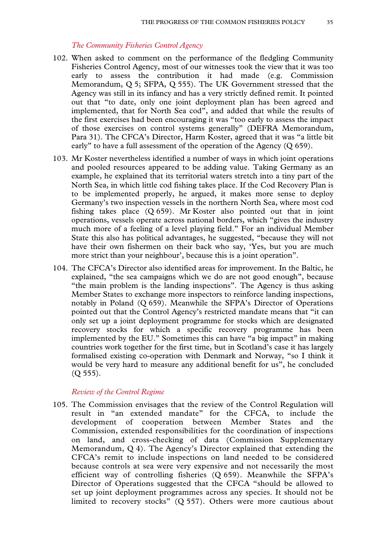# *The Community Fisheries Control Agency*

- 102. When asked to comment on the performance of the fledgling Community Fisheries Control Agency, most of our witnesses took the view that it was too early to assess the contribution it had made (e.g. Commission Memorandum, Q 5; SFPA, Q 555). The UK Government stressed that the Agency was still in its infancy and has a very strictly defined remit. It pointed out that "to date, only one joint deployment plan has been agreed and implemented, that for North Sea cod", and added that while the results of the first exercises had been encouraging it was "too early to assess the impact of those exercises on control systems generally" (DEFRA Memorandum, Para 31). The CFCA's Director, Harm Koster, agreed that it was "a little bit early" to have a full assessment of the operation of the Agency (Q 659).
- 103. Mr Koster nevertheless identified a number of ways in which joint operations and pooled resources appeared to be adding value. Taking Germany as an example, he explained that its territorial waters stretch into a tiny part of the North Sea, in which little cod fishing takes place. If the Cod Recovery Plan is to be implemented properly, he argued, it makes more sense to deploy Germany's two inspection vessels in the northern North Sea, where most cod fishing takes place (Q 659). Mr Koster also pointed out that in joint operations, vessels operate across national borders, which "gives the industry much more of a feeling of a level playing field." For an individual Member State this also has political advantages, he suggested, "because they will not have their own fishermen on their back who say, 'Yes, but you are much more strict than your neighbour', because this is a joint operation".
- 104. The CFCA's Director also identified areas for improvement. In the Baltic, he explained, "the sea campaigns which we do are not good enough", because "the main problem is the landing inspections". The Agency is thus asking Member States to exchange more inspectors to reinforce landing inspections, notably in Poland (Q 659). Meanwhile the SFPA's Director of Operations pointed out that the Control Agency's restricted mandate means that "it can only set up a joint deployment programme for stocks which are designated recovery stocks for which a specific recovery programme has been implemented by the EU." Sometimes this can have "a big impact" in making countries work together for the first time, but in Scotland's case it has largely formalised existing co-operation with Denmark and Norway, "so I think it would be very hard to measure any additional benefit for us", he concluded (Q 555).

#### *Review of the Control Regime*

105. The Commission envisages that the review of the Control Regulation will result in "an extended mandate" for the CFCA, to include the development of cooperation between Member States and the Commission, extended responsibilities for the coordination of inspections on land, and cross-checking of data (Commission Supplementary Memorandum, Q 4). The Agency's Director explained that extending the CFCA's remit to include inspections on land needed to be considered because controls at sea were very expensive and not necessarily the most efficient way of controlling fisheries (Q 659). Meanwhile the SFPA's Director of Operations suggested that the CFCA "should be allowed to set up joint deployment programmes across any species. It should not be limited to recovery stocks" (Q 557). Others were more cautious about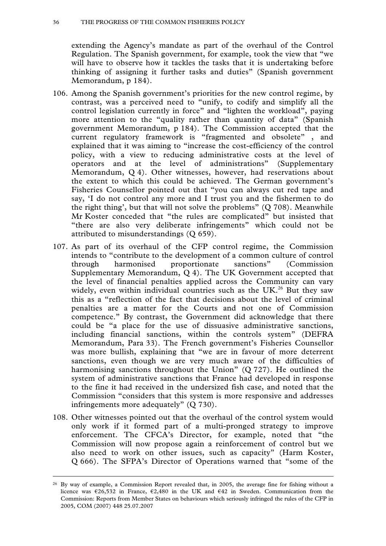extending the Agency's mandate as part of the overhaul of the Control Regulation. The Spanish government, for example, took the view that "we will have to observe how it tackles the tasks that it is undertaking before thinking of assigning it further tasks and duties" (Spanish government Memorandum, p 184).

- 106. Among the Spanish government's priorities for the new control regime, by contrast, was a perceived need to "unify, to codify and simplify all the control legislation currently in force" and "lighten the workload", paying more attention to the "quality rather than quantity of data" (Spanish government Memorandum, p 184). The Commission accepted that the current regulatory framework is "fragmented and obsolete" , and explained that it was aiming to "increase the cost-efficiency of the control policy, with a view to reducing administrative costs at the level of operators and at the level of administrations" (Supplementary Memorandum, Q 4). Other witnesses, however, had reservations about the extent to which this could be achieved. The German government's Fisheries Counsellor pointed out that "you can always cut red tape and say, 'I do not control any more and I trust you and the fishermen to do the right thing', but that will not solve the problems" (Q 708). Meanwhile Mr Koster conceded that "the rules are complicated" but insisted that "there are also very deliberate infringements" which could not be attributed to misunderstandings (Q 659).
- 107. As part of its overhaul of the CFP control regime, the Commission intends to "contribute to the development of a common culture of control through harmonised proportionate sanctions" (Commission Supplementary Memorandum, Q 4). The UK Government accepted that the level of financial penalties applied across the Community can vary widely, even within individual countries such as the UK.<sup>26</sup> But they saw this as a "reflection of the fact that decisions about the level of criminal penalties are a matter for the Courts and not one of Commission competence." By contrast, the Government did acknowledge that there could be "a place for the use of dissuasive administrative sanctions, including financial sanctions, within the controls system" (DEFRA Memorandum, Para 33). The French government's Fisheries Counsellor was more bullish, explaining that "we are in favour of more deterrent sanctions, even though we are very much aware of the difficulties of harmonising sanctions throughout the Union" (Q 727). He outlined the system of administrative sanctions that France had developed in response to the fine it had received in the undersized fish case, and noted that the Commission "considers that this system is more responsive and addresses infringements more adequately" (Q 730).
- 108. Other witnesses pointed out that the overhaul of the control system would only work if it formed part of a multi-pronged strategy to improve enforcement. The CFCA's Director, for example, noted that "the Commission will now propose again a reinforcement of control but we also need to work on other issues, such as capacity" (Harm Koster, Q 666). The SFPA's Director of Operations warned that "some of the

 <sup>26</sup> By way of example, a Commission Report revealed that, in 2005, the average fine for fishing without a licence was  $\epsilon$ 26,532 in France,  $\epsilon$ 2,480 in the UK and  $\epsilon$ 42 in Sweden. Communication from the Commission: Reports from Member States on behaviours which seriously infringed the rules of the CFP in 2005, COM (2007) 448 25.07.2007